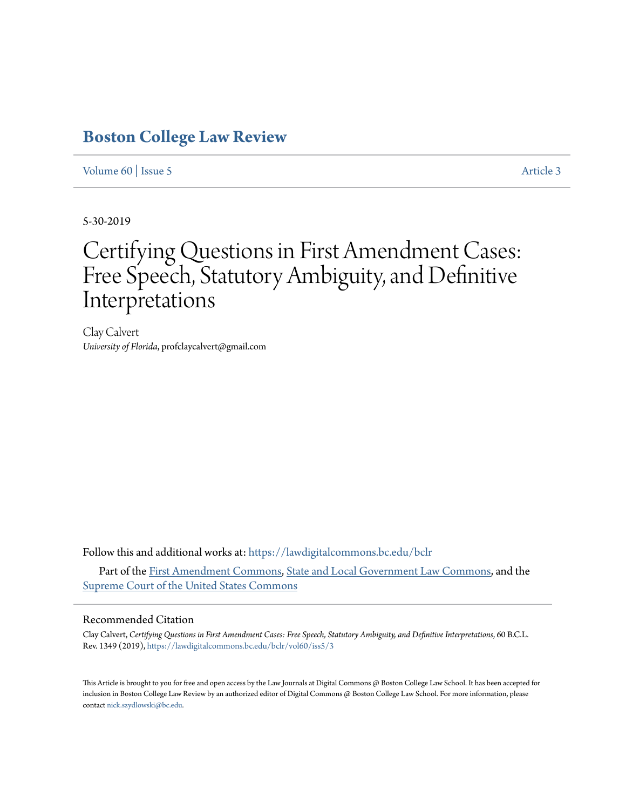# **[Boston College Law Review](https://lawdigitalcommons.bc.edu/bclr?utm_source=lawdigitalcommons.bc.edu%2Fbclr%2Fvol60%2Fiss5%2F3&utm_medium=PDF&utm_campaign=PDFCoverPages)**

## [Volume 60](https://lawdigitalcommons.bc.edu/bclr/vol60?utm_source=lawdigitalcommons.bc.edu%2Fbclr%2Fvol60%2Fiss5%2F3&utm_medium=PDF&utm_campaign=PDFCoverPages) | [Issue 5](https://lawdigitalcommons.bc.edu/bclr/vol60/iss5?utm_source=lawdigitalcommons.bc.edu%2Fbclr%2Fvol60%2Fiss5%2F3&utm_medium=PDF&utm_campaign=PDFCoverPages) [Article 3](https://lawdigitalcommons.bc.edu/bclr/vol60/iss5/3?utm_source=lawdigitalcommons.bc.edu%2Fbclr%2Fvol60%2Fiss5%2F3&utm_medium=PDF&utm_campaign=PDFCoverPages)

5-30-2019

# Certifying Questions in First Amendment Cases: Free Speech, Statutory Ambiguity, and Definitive Interpretations

Clay Calvert *University of Florida*, profclaycalvert@gmail.com

Follow this and additional works at: [https://lawdigitalcommons.bc.edu/bclr](https://lawdigitalcommons.bc.edu/bclr?utm_source=lawdigitalcommons.bc.edu%2Fbclr%2Fvol60%2Fiss5%2F3&utm_medium=PDF&utm_campaign=PDFCoverPages)

Part of the [First Amendment Commons,](http://network.bepress.com/hgg/discipline/1115?utm_source=lawdigitalcommons.bc.edu%2Fbclr%2Fvol60%2Fiss5%2F3&utm_medium=PDF&utm_campaign=PDFCoverPages) [State and Local Government Law Commons](http://network.bepress.com/hgg/discipline/879?utm_source=lawdigitalcommons.bc.edu%2Fbclr%2Fvol60%2Fiss5%2F3&utm_medium=PDF&utm_campaign=PDFCoverPages), and the [Supreme Court of the United States Commons](http://network.bepress.com/hgg/discipline/1350?utm_source=lawdigitalcommons.bc.edu%2Fbclr%2Fvol60%2Fiss5%2F3&utm_medium=PDF&utm_campaign=PDFCoverPages)

### Recommended Citation

Clay Calvert, *Certifying Questions in First Amendment Cases: Free Speech, Statutory Ambiguity, and Definitive Interpretations*, 60 B.C.L. Rev. 1349 (2019), [https://lawdigitalcommons.bc.edu/bclr/vol60/iss5/3](https://lawdigitalcommons.bc.edu/bclr/vol60/iss5/3?utm_source=lawdigitalcommons.bc.edu%2Fbclr%2Fvol60%2Fiss5%2F3&utm_medium=PDF&utm_campaign=PDFCoverPages)

This Article is brought to you for free and open access by the Law Journals at Digital Commons @ Boston College Law School. It has been accepted for inclusion in Boston College Law Review by an authorized editor of Digital Commons @ Boston College Law School. For more information, please contact [nick.szydlowski@bc.edu](mailto:nick.szydlowski@bc.edu).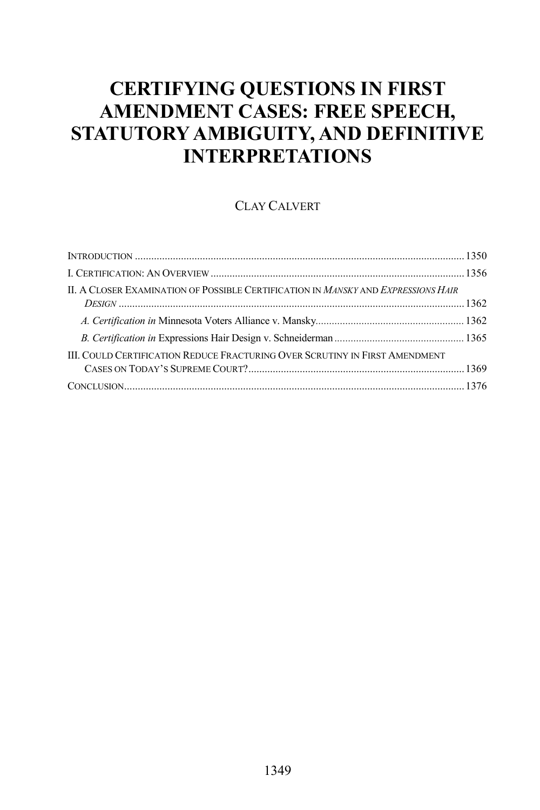# **CERTIFYING QUESTIONS IN FIRST AMENDMENT CASES: FREE SPEECH, STATUTORY AMBIGUITY, AND DEFINITIVE INTERPRETATIONS**

### CLAY CALVERT

| II. A CLOSER EXAMINATION OF POSSIBLE CERTIFICATION IN MANSKY AND EXPRESSIONS HAIR  |  |
|------------------------------------------------------------------------------------|--|
|                                                                                    |  |
|                                                                                    |  |
| <b>III. COULD CERTIFICATION REDUCE FRACTURING OVER SCRUTINY IN FIRST AMENDMENT</b> |  |
|                                                                                    |  |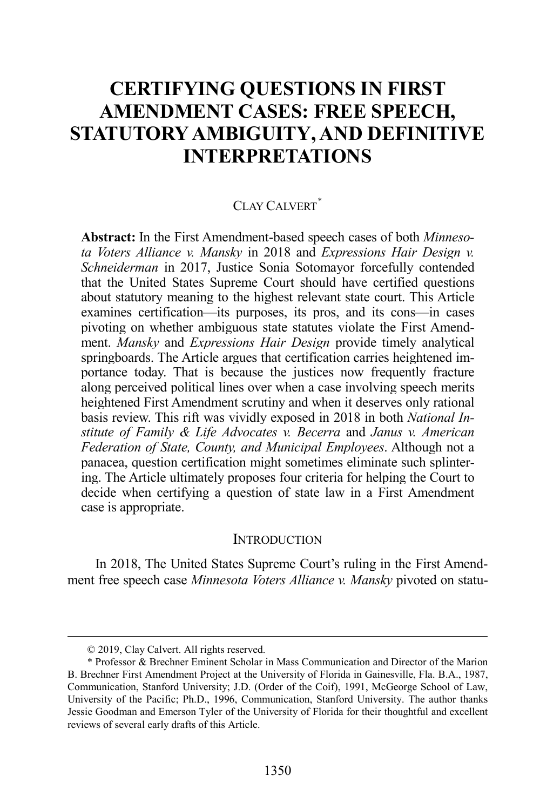# **CERTIFYING QUESTIONS IN FIRST AMENDMENT CASES: FREE SPEECH, STATUTORY AMBIGUITY, AND DEFINITIVE INTERPRETATIONS**

# CLAY CALVERT<sup>[\\*](#page-2-0)</sup>

**Abstract:** In the First Amendment-based speech cases of both *Minnesota Voters Alliance v. Mansky* in 2018 and *Expressions Hair Design v. Schneiderman* in 2017, Justice Sonia Sotomayor forcefully contended that the United States Supreme Court should have certified questions about statutory meaning to the highest relevant state court. This Article examines certification—its purposes, its pros, and its cons—in cases pivoting on whether ambiguous state statutes violate the First Amendment. *Mansky* and *Expressions Hair Design* provide timely analytical springboards. The Article argues that certification carries heightened importance today. That is because the justices now frequently fracture along perceived political lines over when a case involving speech merits heightened First Amendment scrutiny and when it deserves only rational basis review. This rift was vividly exposed in 2018 in both *National Institute of Family & Life Advocates v. Becerra* and *Janus v. American Federation of State, County, and Municipal Employees*. Although not a panacea, question certification might sometimes eliminate such splintering. The Article ultimately proposes four criteria for helping the Court to decide when certifying a question of state law in a First Amendment case is appropriate.

#### **INTRODUCTION**

In 2018, The United States Supreme Court's ruling in the First Amendment free speech case *Minnesota Voters Alliance v. Mansky* pivoted on statu-

 <sup>© 2019,</sup> Clay Calvert. All rights reserved.

<span id="page-2-0"></span><sup>\*</sup> Professor & Brechner Eminent Scholar in Mass Communication and Director of the Marion B. Brechner First Amendment Project at the University of Florida in Gainesville, Fla. B.A., 1987, Communication, Stanford University; J.D. (Order of the Coif), 1991, McGeorge School of Law, University of the Pacific; Ph.D., 1996, Communication, Stanford University. The author thanks Jessie Goodman and Emerson Tyler of the University of Florida for their thoughtful and excellent reviews of several early drafts of this Article.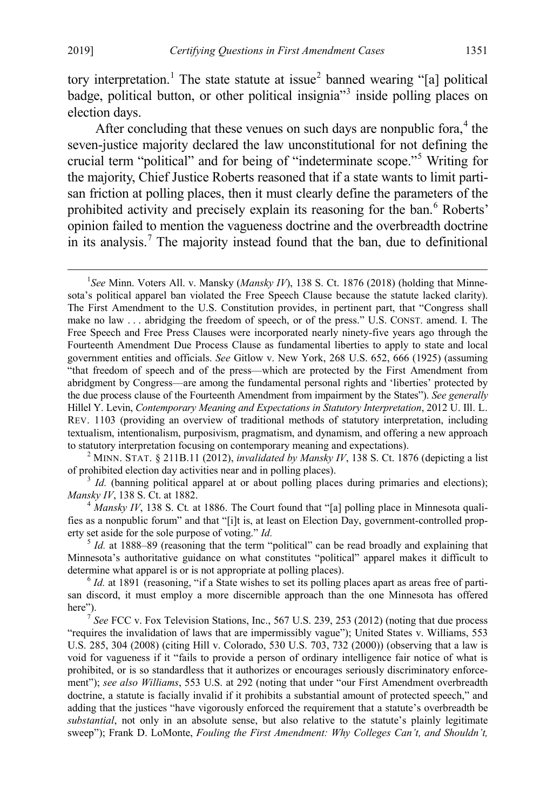tory interpretation.<sup>[1](#page-3-0)</sup> The state statute at issue<sup>[2](#page-3-1)</sup> banned wearing "[a] political badge, political button, or other political insignia<sup> $3$ </sup> inside polling places on election days.

After concluding that these venues on such days are nonpublic for a,<sup>[4](#page-3-3)</sup> the seven-justice majority declared the law unconstitutional for not defining the crucial term "political" and for being of "indeterminate scope."[5](#page-3-4) Writing for the majority, Chief Justice Roberts reasoned that if a state wants to limit partisan friction at polling places, then it must clearly define the parameters of the prohibited activity and precisely explain its reasoning for the ban.<sup>[6](#page-3-5)</sup> Roberts' opinion failed to mention the vagueness doctrine and the overbreadth doctrine in its analysis.<sup>[7](#page-3-6)</sup> The majority instead found that the ban, due to definitional

<span id="page-3-0"></span> $\overline{\phantom{0}1}$ *See* Minn. Voters All. v. Mansky (*Mansky IV*), 138 S. Ct. 1876 (2018) (holding that Minnesota's political apparel ban violated the Free Speech Clause because the statute lacked clarity). The First Amendment to the U.S. Constitution provides, in pertinent part, that "Congress shall make no law . . . abridging the freedom of speech, or of the press." U.S. CONST. amend. I. The Free Speech and Free Press Clauses were incorporated nearly ninety-five years ago through the Fourteenth Amendment Due Process Clause as fundamental liberties to apply to state and local government entities and officials. *See* Gitlow v. New York, 268 U.S. 652, 666 (1925) (assuming "that freedom of speech and of the press—which are protected by the First Amendment from abridgment by Congress—are among the fundamental personal rights and 'liberties' protected by the due process clause of the Fourteenth Amendment from impairment by the States"). *See generally* Hillel Y. Levin, *Contemporary Meaning and Expectations in Statutory Interpretation*, 2012 U. Ill. L. REV. 1103 (providing an overview of traditional methods of statutory interpretation, including textualism, intentionalism, purposivism, pragmatism, and dynamism, and offering a new approach to statutory interpretation focusing on contemporary meaning and expectations). <sup>2</sup> MINN. STAT. § 211B.11 (2012), *invalidated by Mansky IV*, 138 S. Ct. 1876 (depicting a list

<span id="page-3-1"></span>of prohibited election day activities near and in polling places). <sup>3</sup> *Id.* (banning political apparel at or about polling places during primaries and elections);

<span id="page-3-2"></span>*Mansky IV*, 138 S. Ct. at 1882.<br><sup>4</sup> *Mansky IV*, 138 S. Ct. at 1886. The Court found that "[a] polling place in Minnesota quali-

<span id="page-3-3"></span>fies as a nonpublic forum" and that "[i]t is, at least on Election Day, government-controlled property set aside for the sole purpose of voting." *Id.*  $Id$ .  $\frac{5}{1}$  *Id.* at 1888–89 (reasoning that the term "political" can be read broadly and explaining that

<span id="page-3-4"></span>Minnesota's authoritative guidance on what constitutes "political" apparel makes it difficult to determine what apparel is or is not appropriate at polling places).<br><sup>6</sup> *Id.* at 1891 (reasoning, "if a State wishes to set its polling places apart as areas free of parti-

<span id="page-3-5"></span>san discord, it must employ a more discernible approach than the one Minnesota has offered

<span id="page-3-6"></span> $\frac{7}{3}$  *See* FCC v. Fox Television Stations, Inc., 567 U.S. 239, 253 (2012) (noting that due process "requires the invalidation of laws that are impermissibly vague"); United States v. Williams, 553 U.S. 285, 304 (2008) (citing Hill v. Colorado, 530 U.S. 703, 732 (2000)) (observing that a law is void for vagueness if it "fails to provide a person of ordinary intelligence fair notice of what is prohibited, or is so standardless that it authorizes or encourages seriously discriminatory enforcement"); *see also Williams*, 553 U.S. at 292 (noting that under "our First Amendment overbreadth doctrine, a statute is facially invalid if it prohibits a substantial amount of protected speech," and adding that the justices "have vigorously enforced the requirement that a statute's overbreadth be *substantial*, not only in an absolute sense, but also relative to the statute's plainly legitimate sweep"); Frank D. LoMonte, *Fouling the First Amendment: Why Colleges Can't, and Shouldn't,*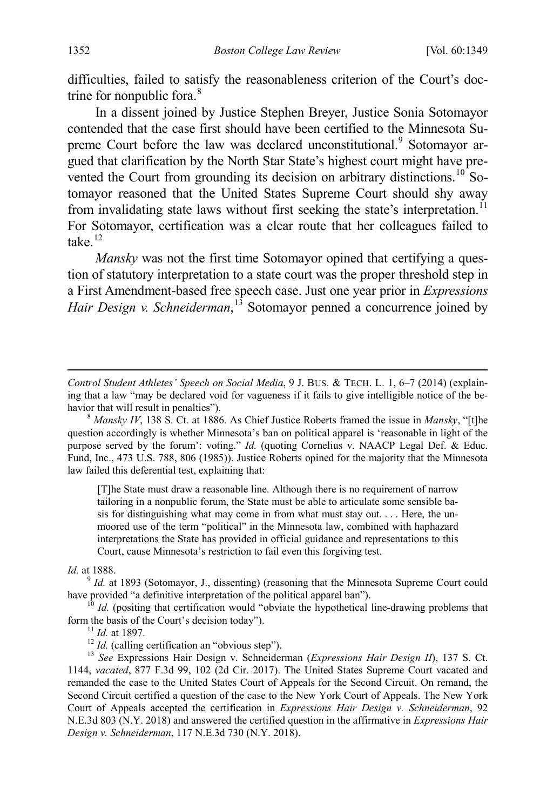difficulties, failed to satisfy the reasonableness criterion of the Court's doc-trine for nonpublic fora.<sup>[8](#page-4-0)</sup>

<span id="page-4-6"></span>In a dissent joined by Justice Stephen Breyer, Justice Sonia Sotomayor contended that the case first should have been certified to the Minnesota Su-preme Court before the law was declared unconstitutional.<sup>[9](#page-4-1)</sup> Sotomayor argued that clarification by the North Star State's highest court might have prevented the Court from grounding its decision on arbitrary distinctions.<sup>10</sup> Sotomayor reasoned that the United States Supreme Court should shy away from invalidating state laws without first seeking the state's interpretation.<sup>[11](#page-4-3)</sup> For Sotomayor, certification was a clear route that her colleagues failed to take. $12$ 

<span id="page-4-7"></span>*Mansky* was not the first time Sotomayor opined that certifying a question of statutory interpretation to a state court was the proper threshold step in a First Amendment-based free speech case. Just one year prior in *Expressions Hair Design v. Schneiderman*, [13](#page-4-5) Sotomayor penned a concurrence joined by

<span id="page-4-0"></span> $\delta$  *Mansky IV*, 138 S. Ct. at 1886. As Chief Justice Roberts framed the issue in *Mansky*, "[t]he question accordingly is whether Minnesota's ban on political apparel is 'reasonable in light of the purpose served by the forum': voting." *Id.* (quoting Cornelius v. NAACP Legal Def. & Educ. Fund, Inc., 473 U.S. 788, 806 (1985)). Justice Roberts opined for the majority that the Minnesota law failed this deferential test, explaining that:

[T]he State must draw a reasonable line. Although there is no requirement of narrow tailoring in a nonpublic forum, the State must be able to articulate some sensible basis for distinguishing what may come in from what must stay out. . . . Here, the unmoored use of the term "political" in the Minnesota law, combined with haphazard interpretations the State has provided in official guidance and representations to this Court, cause Minnesota's restriction to fail even this forgiving test.

*Id.* at 1888.

 $\overline{a}$ 

<span id="page-4-1"></span> $9$  *Id.* at 1893 (Sotomayor, J., dissenting) (reasoning that the Minnesota Supreme Court could have provided "a definitive interpretation of the political apparel ban").

<span id="page-4-2"></span><sup>10</sup> *Id.* (positing that certification would "obviate the hypothetical line-drawing problems that form the basis of the Court's decision today").

<span id="page-4-5"></span><span id="page-4-4"></span><span id="page-4-3"></span><sup>11</sup> *Id.* at 1897.<br><sup>12</sup> *Id.* (calling certification an "obvious step").<br><sup>13</sup> *See* Expressions Hair Design v. Schneiderman (*Expressions Hair Design II*), 137 S. Ct. 1144, *vacated*, 877 F.3d 99, 102 (2d Cir. 2017). The United States Supreme Court vacated and remanded the case to the United States Court of Appeals for the Second Circuit. On remand, the Second Circuit certified a question of the case to the New York Court of Appeals. The New York Court of Appeals accepted the certification in *Expressions Hair Design v. Schneiderman*, 92 N.E.3d 803 (N.Y. 2018) and answered the certified question in the affirmative in *Expressions Hair Design v. Schneiderman*, 117 N.E.3d 730 (N.Y. 2018).

*Control Student Athletes' Speech on Social Media*, 9 J. BUS. & TECH. L. 1, 6–7 (2014) (explaining that a law "may be declared void for vagueness if it fails to give intelligible notice of the be-<br>havior that will result in penalties").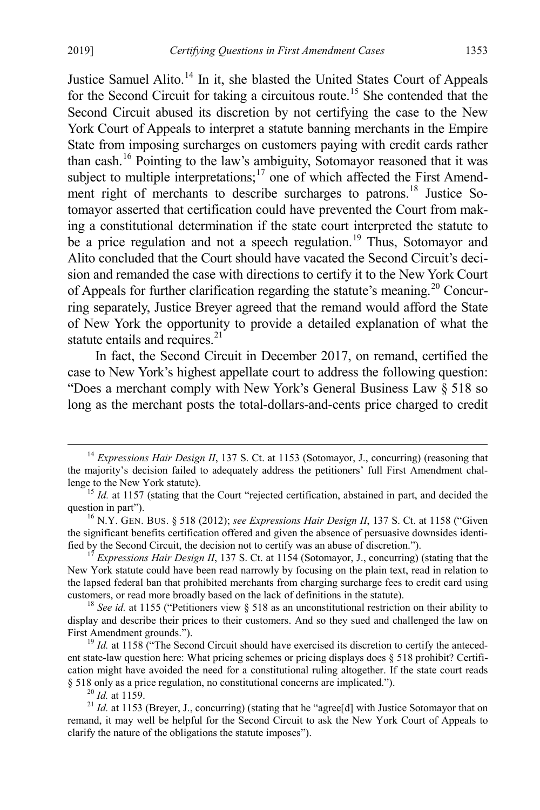<span id="page-5-8"></span>Justice Samuel Alito.<sup>[14](#page-5-0)</sup> In it, she blasted the United States Court of Appeals for the Second Circuit for taking a circuitous route. [15](#page-5-1) She contended that the Second Circuit abused its discretion by not certifying the case to the New York Court of Appeals to interpret a statute banning merchants in the Empire State from imposing surcharges on customers paying with credit cards rather than cash.[16](#page-5-2) Pointing to the law's ambiguity, Sotomayor reasoned that it was subject to multiple interpretations; $17$  one of which affected the First Amend-ment right of merchants to describe surcharges to patrons.<sup>[18](#page-5-4)</sup> Justice Sotomayor asserted that certification could have prevented the Court from making a constitutional determination if the state court interpreted the statute to be a price regulation and not a speech regulation.<sup>[19](#page-5-5)</sup> Thus, Sotomayor and Alito concluded that the Court should have vacated the Second Circuit's decision and remanded the case with directions to certify it to the New York Court of Appeals for further clarification regarding the statute's meaning.<sup>[20](#page-5-6)</sup> Concurring separately, Justice Breyer agreed that the remand would afford the State of New York the opportunity to provide a detailed explanation of what the statute entails and requires.<sup>[21](#page-5-7)</sup>

<span id="page-5-9"></span>In fact, the Second Circuit in December 2017, on remand, certified the case to New York's highest appellate court to address the following question: "Does a merchant comply with New York's General Business Law § 518 so long as the merchant posts the total-dollars-and-cents price charged to credit

<span id="page-5-0"></span><sup>&</sup>lt;sup>14</sup> *Expressions Hair Design II*, 137 S. Ct. at 1153 (Sotomayor, J., concurring) (reasoning that the majority's decision failed to adequately address the petitioners' full First Amendment challenge to the New York statute).<br><sup>15</sup> *Id.* at 1157 (stating that the Court "rejected certification, abstained in part, and decided the

<span id="page-5-1"></span>question in part").<br><sup>16</sup> N.Y. GEN. BUS. § 518 (2012); *see Expressions Hair Design II*, 137 S. Ct. at 1158 ("Given

<span id="page-5-2"></span>the significant benefits certification offered and given the absence of persuasive downsides identi-<br>fied by the Second Circuit, the decision not to certify was an abuse of discretion.").

<span id="page-5-3"></span>*Expressions Hair Design II*, 137 S. Ct. at 1154 (Sotomayor, J., concurring) (stating that the New York statute could have been read narrowly by focusing on the plain text, read in relation to the lapsed federal ban that prohibited merchants from charging surcharge fees to credit card using customers, or read more broadly based on the lack of definitions in the statute). <sup>18</sup> *See id.* at 1155 ("Petitioners view § 518 as an unconstitutional restriction on their ability to

<span id="page-5-4"></span>display and describe their prices to their customers. And so they sued and challenged the law on First Amendment grounds.").<br><sup>19</sup> *Id.* at 1158 ("The Second Circuit should have exercised its discretion to certify the anteced-

<span id="page-5-5"></span>ent state-law question here: What pricing schemes or pricing displays does § 518 prohibit? Certification might have avoided the need for a constitutional ruling altogether. If the state court reads  $§$  518 only as a price regulation, no constitutional concerns are implicated.").

<span id="page-5-7"></span><span id="page-5-6"></span><sup>&</sup>lt;sup>20</sup> *Id.* at 1159. **21** *Id.* at 1153 (Breyer, J., concurring) (stating that he "agree[d] with Justice Sotomayor that on remand, it may well be helpful for the Second Circuit to ask the New York Court of Appeals to clarify the nature of the obligations the statute imposes").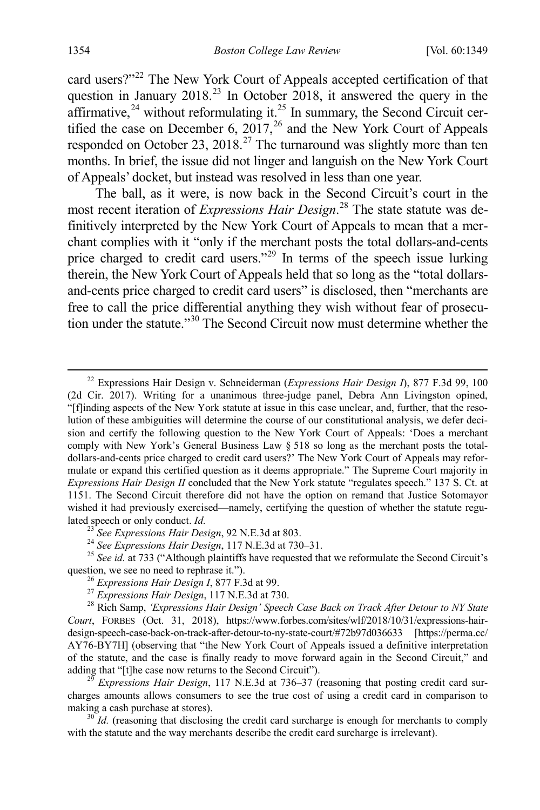card users?"<sup>[22](#page-6-0)</sup> The New York Court of Appeals accepted certification of that question in January  $2018<sup>23</sup>$  $2018<sup>23</sup>$  $2018<sup>23</sup>$  In October 2018, it answered the query in the affirmative, $24$  without reformulating it. $25$  In summary, the Second Circuit certified the case on December 6, 2017, $^{26}$  $^{26}$  $^{26}$  and the New York Court of Appeals responded on October 23, 2018.<sup>[27](#page-6-5)</sup> The turnaround was slightly more than ten months. In brief, the issue did not linger and languish on the New York Court of Appeals' docket, but instead was resolved in less than one year.

The ball, as it were, is now back in the Second Circuit's court in the most recent iteration of *Expressions Hair Design*. [28](#page-6-6) The state statute was definitively interpreted by the New York Court of Appeals to mean that a merchant complies with it "only if the merchant posts the total dollars-and-cents price charged to credit card users."<sup>29</sup> In terms of the speech issue lurking therein, the New York Court of Appeals held that so long as the "total dollarsand-cents price charged to credit card users" is disclosed, then "merchants are free to call the price differential anything they wish without fear of prosecution under the statute."[30](#page-6-8) The Second Circuit now must determine whether the

<span id="page-6-2"></span><span id="page-6-1"></span>lated speech or only conduct. *Id.*<br><sup>23</sup> See Expressions Hair Design, 92 N.E.3d at 803.<br><sup>24</sup> See Expressions Hair Design, 117 N.E.3d at 730–31.<br><sup>25</sup> See id. at 733 ("Although plaintiffs have requested that we reformulate

<span id="page-6-7"></span>Expressions Hair Design, 117 N.E.3d at 736–37 (reasoning that posting credit card surcharges amounts allows consumers to see the true cost of using a credit card in comparison to making a cash purchase at stores).<br><sup>30</sup> *Id.* (reasoning that disclosing the credit card surcharge is enough for merchants to comply

<span id="page-6-8"></span>with the statute and the way merchants describe the credit card surcharge is irrelevant).

<span id="page-6-0"></span> <sup>22</sup> Expressions Hair Design v. Schneiderman (*Expressions Hair Design I*), 877 F.3d 99, 100 (2d Cir. 2017). Writing for a unanimous three-judge panel, Debra Ann Livingston opined, "[f]inding aspects of the New York statute at issue in this case unclear, and, further, that the resolution of these ambiguities will determine the course of our constitutional analysis, we defer decision and certify the following question to the New York Court of Appeals: 'Does a merchant comply with New York's General Business Law § 518 so long as the merchant posts the totaldollars-and-cents price charged to credit card users?' The New York Court of Appeals may reformulate or expand this certified question as it deems appropriate." The Supreme Court majority in *Expressions Hair Design II* concluded that the New York statute "regulates speech." 137 S. Ct. at 1151. The Second Circuit therefore did not have the option on remand that Justice Sotomayor wished it had previously exercised—namely, certifying the question of whether the statute regu-

<span id="page-6-6"></span><span id="page-6-5"></span><span id="page-6-4"></span><span id="page-6-3"></span><sup>&</sup>lt;sup>26</sup> Expressions Hair Design I, 877 F.3d at 99.<br><sup>27</sup> Expressions Hair Design, 117 N.E.3d at 730.<br><sup>28</sup> Rich Samp, 'Expressions Hair Design' Speech Case Back on Track After Detour to NY State *Court*, FORBES (Oct. 31, 2018), https://www.forbes.com/sites/wlf/2018/10/31/expressions-hairdesign-speech-case-back-on-track-after-detour-to-ny-state-court/#72b97d036633 [https://perma.cc/ AY76-BY7H] (observing that "the New York Court of Appeals issued a definitive interpretation of the statute, and the case is finally ready to move forward again in the Second Circuit," and adding that "[t]he case now returns to the Second Circuit").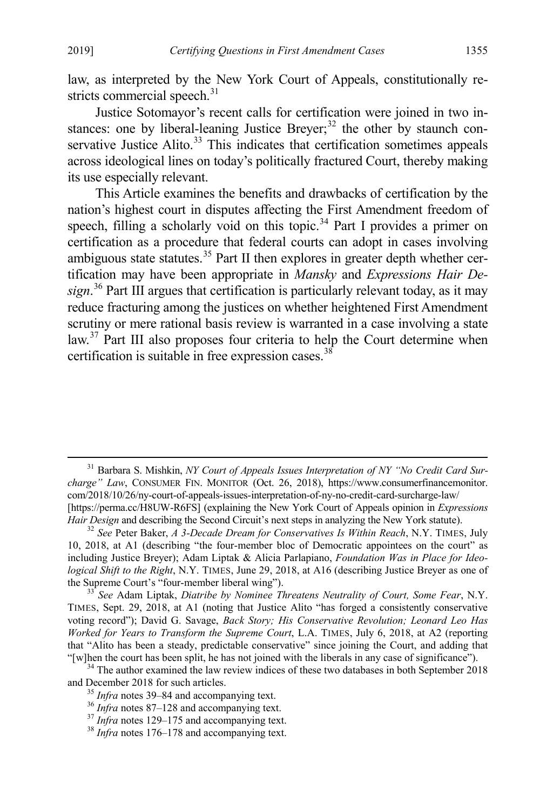<span id="page-7-9"></span><span id="page-7-8"></span>Justice Sotomayor's recent calls for certification were joined in two in-stances: one by liberal-leaning Justice Breyer;<sup>[32](#page-7-1)</sup> the other by staunch con-servative Justice Alito.<sup>[33](#page-7-2)</sup> This indicates that certification sometimes appeals across ideological lines on today's politically fractured Court, thereby making its use especially relevant.

This Article examines the benefits and drawbacks of certification by the nation's highest court in disputes affecting the First Amendment freedom of speech, filling a scholarly void on this topic.<sup>[34](#page-7-3)</sup> Part I provides a primer on certification as a procedure that federal courts can adopt in cases involving ambiguous state statutes.<sup>[35](#page-7-4)</sup> Part II then explores in greater depth whether certification may have been appropriate in *Mansky* and *Expressions Hair Design*. [36](#page-7-5) Part III argues that certification is particularly relevant today, as it may reduce fracturing among the justices on whether heightened First Amendment scrutiny or mere rational basis review is warranted in a case involving a state law.<sup>[37](#page-7-6)</sup> Part III also proposes four criteria to help the Court determine when certification is suitable in free expression cases.<sup>[38](#page-7-7)</sup>

<span id="page-7-0"></span> <sup>31</sup> Barbara S. Mishkin, *NY Court of Appeals Issues Interpretation of NY "No Credit Card Surcharge" Law*, CONSUMER FIN. MONITOR (Oct. 26, 2018), https://www.consumerfinancemonitor. com/2018/10/26/ny-court-of-appeals-issues-interpretation-of-ny-no-credit-card-surcharge-law/ [https://perma.cc/H8UW-R6FS] (explaining the New York Court of Appeals opinion in *Expressions Hair Design* and describing the Second Circuit's next steps in analyzing the New York statute). 32 *See* Peter Baker, *A 3-Decade Dream for Conservatives Is Within Reach*, N.Y. TIMES, July

<span id="page-7-1"></span><sup>10, 2018,</sup> at A1 (describing "the four-member bloc of Democratic appointees on the court" as including Justice Breyer); Adam Liptak & Alicia Parlapiano, *Foundation Was in Place for Ideological Shift to the Right*, N.Y. TIMES, June 29, 2018, at A16 (describing Justice Breyer as one of the Supreme Court's "four-member liberal wing"). <sup>33</sup> *See* Adam Liptak, *Diatribe by Nominee Threatens Neutrality of Court, Some Fear*, N.Y.

<span id="page-7-2"></span>TIMES, Sept. 29, 2018, at A1 (noting that Justice Alito "has forged a consistently conservative voting record"); David G. Savage, *Back Story; His Conservative Revolution; Leonard Leo Has Worked for Years to Transform the Supreme Court*, L.A. TIMES, July 6, 2018, at A2 (reporting that "Alito has been a steady, predictable conservative" since joining the Court, and adding that

<span id="page-7-5"></span><span id="page-7-4"></span><span id="page-7-3"></span><sup>&</sup>quot;[w]hen the court has been split, he has not joined with the liberals in any case of significance").<br><sup>34</sup> The author examined the law review indices of these two databases in both September 2018<br>and December 2018 for such

<sup>&</sup>lt;sup>35</sup> *Infra* note[s 39](#page-8-0)[–84](#page-14-0) and accompanying text.<br><sup>36</sup> *Infra* note[s 87](#page-14-1)[–128](#page-20-0) and accompanying text.<br><sup>37</sup> *Infra* note[s 129](#page-21-0)[–175](#page-27-0) and accompanying text.<br><sup>38</sup> *Infra* note[s 176](#page-27-1)[–178](#page-28-0) and accompanying text.

<span id="page-7-6"></span>

<span id="page-7-7"></span>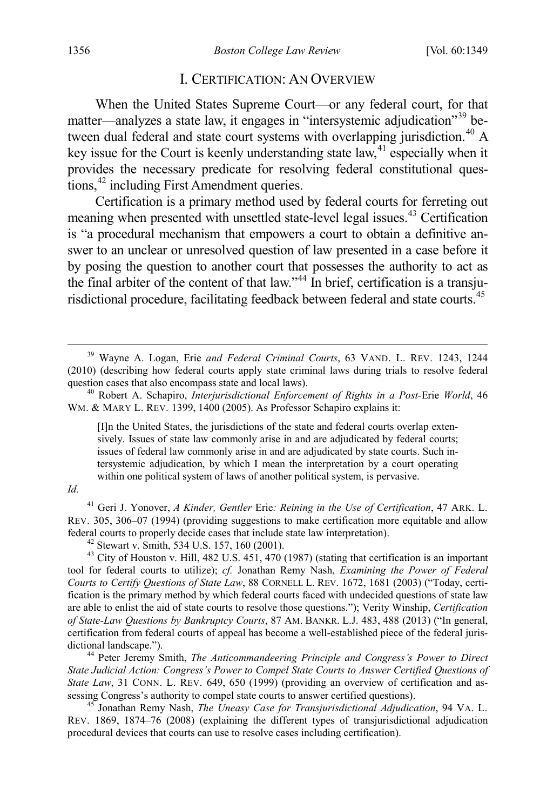#### <span id="page-8-9"></span><span id="page-8-8"></span><span id="page-8-0"></span>I. CERTIFICATION: AN OVERVIEW

When the United States Supreme Court—or any federal court, for that matter—analyzes a state law, it engages in "intersystemic adjudication"[39](#page-8-1) between dual federal and state court systems with overlapping jurisdiction.<sup>40</sup> A key issue for the Court is keenly understanding state law,  $4\degree$  especially when it provides the necessary predicate for resolving federal constitutional ques-tions,<sup>[42](#page-8-4)</sup> including First Amendment queries.

Certification is a primary method used by federal courts for ferreting out meaning when presented with unsettled state-level legal issues.[43](#page-8-5) Certification is "a procedural mechanism that empowers a court to obtain a definitive answer to an unclear or unresolved question of law presented in a case before it by posing the question to another court that possesses the authority to act as the final arbiter of the content of that law."<sup>[44](#page-8-6)</sup> In brief, certification is a transju-risdictional procedure, facilitating feedback between federal and state courts.<sup>[45](#page-8-7)</sup>

[I]n the United States, the jurisdictions of the state and federal courts overlap extensively. Issues of state law commonly arise in and are adjudicated by federal courts; issues of federal law commonly arise in and are adjudicated by state courts. Such intersystemic adjudication, by which I mean the interpretation by a court operating within one political system of laws of another political system, is pervasive.

*Id.*

<span id="page-8-3"></span><sup>41</sup> Geri J. Yonover, *A Kinder, Gentler* Erie*: Reining in the Use of Certification*, 47 ARK. L. REV. 305, 306–07 (1994) (providing suggestions to make certification more equitable and allow federal courts to properly decide cases that include state law interpretation).<br><sup>42</sup> Stewart v. Smith, 534 U.S. 157, 160 (2001).<br><sup>43</sup> City of Houston v. Hill, 482 U.S. 451, 470 (1987) (stating that certification is an impo

<span id="page-8-5"></span><span id="page-8-4"></span>tool for federal courts to utilize); *cf.* Jonathan Remy Nash, *Examining the Power of Federal Courts to Certify Questions of State Law*, 88 CORNELL L. REV. 1672, 1681 (2003) ("Today, certification is the primary method by which federal courts faced with undecided questions of state law are able to enlist the aid of state courts to resolve those questions."); Verity Winship, *Certification of State-Law Questions by Bankruptcy Courts*, 87 AM. BANKR. L.J. 483, 488 (2013) ("In general, certification from federal courts of appeal has become a well-established piece of the federal jurisdictional landscape.").<br><sup>44</sup> Peter Jeremy Smith, *The Anticommandeering Principle and Congress's Power to Direct* 

<span id="page-8-6"></span>*State Judicial Action: Congress's Power to Compel State Courts to Answer Certified Questions of State Law*, 31 CONN. L. REV. 649, 650 (1999) (providing an overview of certification and assessing Congress's authority to compel state courts to answer certified questions).

<span id="page-8-7"></span><sup>45</sup> Jonathan Remy Nash, *The Uneasy Case for Transjurisdictional Adjudication*, 94 VA. L. REV. 1869, 1874–76 (2008) (explaining the different types of transjurisdictional adjudication procedural devices that courts can use to resolve cases including certification).

<span id="page-8-1"></span> <sup>39</sup> Wayne A. Logan, Erie *and Federal Criminal Courts*, 63 VAND. L. REV. 1243, 1244 (2010) (describing how federal courts apply state criminal laws during trials to resolve federal question cases that also encompass state and local laws).<br><sup>40</sup> Robert A. Schapiro, *Interjurisdictional Enforcement of Rights in a Post*-Erie *World*, 46

<span id="page-8-2"></span>WM. & MARY L. REV. 1399, 1400 (2005). As Professor Schapiro explains it: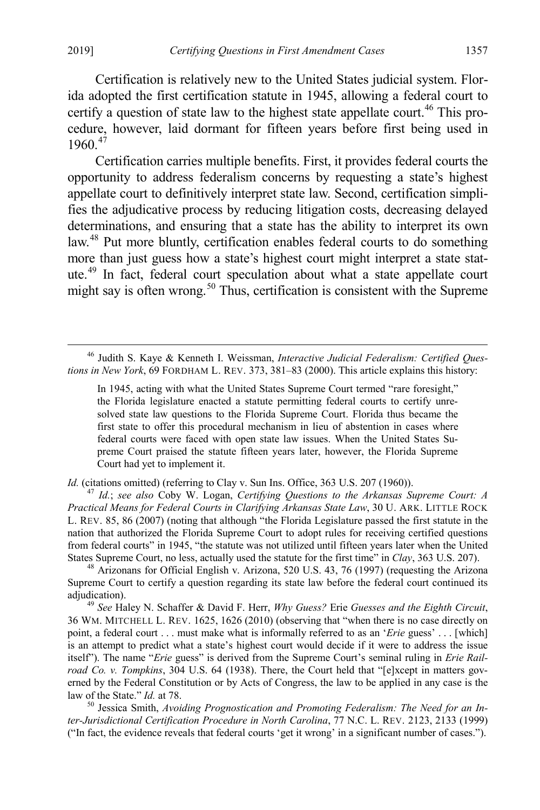<span id="page-9-5"></span>Certification is relatively new to the United States judicial system. Florida adopted the first certification statute in 1945, allowing a federal court to certify a question of state law to the highest state appellate court.<sup>[46](#page-9-0)</sup> This procedure, however, laid dormant for fifteen years before first being used in 1960.<sup>[47](#page-9-1)</sup>

<span id="page-9-7"></span>Certification carries multiple benefits. First, it provides federal courts the opportunity to address federalism concerns by requesting a state's highest appellate court to definitively interpret state law. Second, certification simplifies the adjudicative process by reducing litigation costs, decreasing delayed determinations, and ensuring that a state has the ability to interpret its own law.<sup>[48](#page-9-2)</sup> Put more bluntly, certification enables federal courts to do something more than just guess how a state's highest court might interpret a state statute.[49](#page-9-3) In fact, federal court speculation about what a state appellate court might say is often wrong.<sup>[50](#page-9-4)</sup> Thus, certification is consistent with the Supreme

<span id="page-9-1"></span>

*Id.* (citations omitted) (referring to Clay v. Sun Ins. Office, 363 U.S. 207 (1960)). <sup>47</sup> *Id.*; *see also* Coby W. Logan, *Certifying Questions to the Arkansas Supreme Court: A Practical Means for Federal Courts in Clarifying Arkansas State Law*, 30 U. ARK. LITTLE ROCK L. REV. 85, 86 (2007) (noting that although "the Florida Legislature passed the first statute in the nation that authorized the Florida Supreme Court to adopt rules for receiving certified questions from federal courts" in 1945, "the statute was not utilized until fifteen years later when the United States Supreme Court, no less, actually used the statute for the first time" in Clay, 363 U.S. 207).

<span id="page-9-2"></span><sup>48</sup> Arizonans for Official English v. Arizona, 520 U.S. 43, 76 (1997) (requesting the Arizona Supreme Court to certify a question regarding its state law before the federal court continued its adjudication). <sup>49</sup> *See* Haley N. Schaffer & David F. Herr, *Why Guess?* Erie *Guesses and the Eighth Circuit*,

<span id="page-9-3"></span>36 WM. MITCHELL L. REV. 1625, 1626 (2010) (observing that "when there is no case directly on point, a federal court . . . must make what is informally referred to as an '*Erie* guess' . . . [which] is an attempt to predict what a state's highest court would decide if it were to address the issue itself"). The name "*Erie* guess" is derived from the Supreme Court's seminal ruling in *Erie Railroad Co. v. Tompkins*, 304 U.S. 64 (1938). There, the Court held that "[e]xcept in matters governed by the Federal Constitution or by Acts of Congress, the law to be applied in any case is the law of the State."  $Id$ . at 78.

<span id="page-9-4"></span><sup>50</sup> Jessica Smith, *Avoiding Prognostication and Promoting Federalism: The Need for an Inter-Jurisdictional Certification Procedure in North Carolina*, 77 N.C. L. REV. 2123, 2133 (1999) ("In fact, the evidence reveals that federal courts 'get it wrong' in a significant number of cases.").

<span id="page-9-0"></span> <sup>46</sup> Judith S. Kaye & Kenneth I. Weissman, *Interactive Judicial Federalism: Certified Questions in New York*, 69 FORDHAM L. REV. 373, 381–83 (2000). This article explains this history:

<span id="page-9-6"></span>In 1945, acting with what the United States Supreme Court termed "rare foresight," the Florida legislature enacted a statute permitting federal courts to certify unresolved state law questions to the Florida Supreme Court. Florida thus became the first state to offer this procedural mechanism in lieu of abstention in cases where federal courts were faced with open state law issues. When the United States Supreme Court praised the statute fifteen years later, however, the Florida Supreme Court had yet to implement it.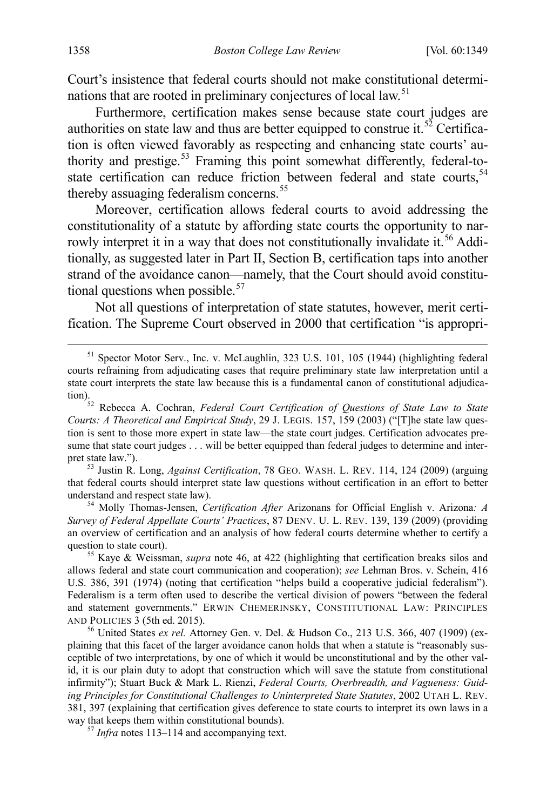<span id="page-10-8"></span>Court's insistence that federal courts should not make constitutional determi-nations that are rooted in preliminary conjectures of local law.<sup>[51](#page-10-0)</sup>

<span id="page-10-7"></span>Furthermore, certification makes sense because state court judges are authorities on state law and thus are better equipped to construe it.<sup>[52](#page-10-1)</sup> Certification is often viewed favorably as respecting and enhancing state courts' au-thority and prestige.<sup>[53](#page-10-2)</sup> Framing this point somewhat differently, federal-to-state certification can reduce friction between federal and state courts,<sup>[54](#page-10-3)</sup> thereby assuaging federalism concerns.<sup>[55](#page-10-4)</sup>

Moreover, certification allows federal courts to avoid addressing the constitutionality of a statute by affording state courts the opportunity to nar-rowly interpret it in a way that does not constitutionally invalidate it.<sup>[56](#page-10-5)</sup> Additionally, as suggested later in Part II, Section B, certification taps into another strand of the avoidance canon—namely, that the Court should avoid constitutional questions when possible. $57$ 

Not all questions of interpretation of state statutes, however, merit certification. The Supreme Court observed in 2000 that certification "is appropri-

<span id="page-10-2"></span>pret state law.").<br><sup>53</sup> Justin R. Long, *Against Certification*, 78 GEO. WASH. L. REV. 114, 124 (2009) (arguing that federal courts should interpret state law questions without certification in an effort to better understand and respect state law).

<span id="page-10-3"></span><sup>54</sup> Molly Thomas-Jensen, *Certification After* Arizonans for Official English v. Arizona*: A Survey of Federal Appellate Courts' Practices*, 87 DENV. U. L. REV. 139, 139 (2009) (providing an overview of certification and an analysis of how federal courts determine whether to certify a question to state court).<br><sup>55</sup> Kaye & Weissman, *supra* note [46,](#page-9-5) at 422 (highlighting that certification breaks silos and

<span id="page-10-4"></span>allows federal and state court communication and cooperation); *see* Lehman Bros. v. Schein, 416 U.S. 386, 391 (1974) (noting that certification "helps build a cooperative judicial federalism"). Federalism is a term often used to describe the vertical division of powers "between the federal and statement governments." ERWIN CHEMERINSKY, CONSTITUTIONAL LAW: PRINCIPLES AND POLICIES 3 (5th ed. 2015).<br><sup>56</sup> United States *ex rel.* Attorney Gen. v. Del. & Hudson Co., 213 U.S. 366, 407 (1909) (ex-

<span id="page-10-5"></span>plaining that this facet of the larger avoidance canon holds that when a statute is "reasonably susceptible of two interpretations, by one of which it would be unconstitutional and by the other valid, it is our plain duty to adopt that construction which will save the statute from constitutional infirmity"); Stuart Buck & Mark L. Rienzi, *Federal Courts, Overbreadth, and Vagueness: Guiding Principles for Constitutional Challenges to Uninterpreted State Statutes*, 2002 UTAH L. REV. 381, 397 (explaining that certification gives deference to state courts to interpret its own laws in a way that keeps them within constitutional bounds). <sup>57</sup> *Infra* note[s 113](#page-18-0)[–114](#page-18-1) and accompanying text.

<span id="page-10-6"></span>

<span id="page-10-0"></span><sup>&</sup>lt;sup>51</sup> Spector Motor Serv., Inc. v. McLaughlin, 323 U.S. 101, 105 (1944) (highlighting federal courts refraining from adjudicating cases that require preliminary state law interpretation until a state court interprets the state law because this is a fundamental canon of constitutional adjudica-<br>tion).

<span id="page-10-1"></span>Rebecca A. Cochran, *Federal Court Certification of Questions of State Law to State Courts: A Theoretical and Empirical Study*, 29 J. LEGIS. 157, 159 (2003) ("[T]he state law question is sent to those more expert in state law—the state court judges. Certification advocates presume that state court judges . . . will be better equipped than federal judges to determine and inter-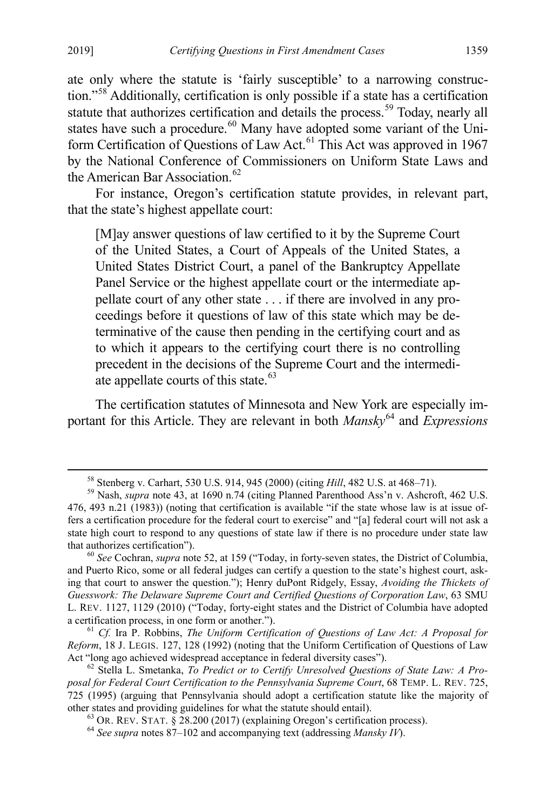ate only where the statute is 'fairly susceptible' to a narrowing construction."[58](#page-11-0) Additionally, certification is only possible if a state has a certification statute that authorizes certification and details the process.<sup>[59](#page-11-1)</sup> Today, nearly all states have such a procedure.<sup>[60](#page-11-2)</sup> Many have adopted some variant of the Uni-form Certification of Questions of Law Act.<sup>[61](#page-11-3)</sup> This Act was approved in 1967 by the National Conference of Commissioners on Uniform State Laws and the American Bar Association.<sup>[62](#page-11-4)</sup>

For instance, Oregon's certification statute provides, in relevant part, that the state's highest appellate court:

[M]ay answer questions of law certified to it by the Supreme Court of the United States, a Court of Appeals of the United States, a United States District Court, a panel of the Bankruptcy Appellate Panel Service or the highest appellate court or the intermediate appellate court of any other state . . . if there are involved in any proceedings before it questions of law of this state which may be determinative of the cause then pending in the certifying court and as to which it appears to the certifying court there is no controlling precedent in the decisions of the Supreme Court and the intermedi-ate appellate courts of this state.<sup>[63](#page-11-5)</sup>

The certification statutes of Minnesota and New York are especially important for this Article. They are relevant in both *Mansky*<sup>[64](#page-11-6)</sup> and *Expressions* 

<span id="page-11-1"></span><span id="page-11-0"></span><sup>&</sup>lt;sup>58</sup> Stenberg v. Carhart, 530 U.S. 914, 945 (2000) (citing *Hill*, 482 U.S. at 468–71).<br><sup>59</sup> Nash, *supra* note [43,](#page-8-8) at 1690 n.74 (citing Planned Parenthood Ass'n v. Ashcroft, 462 U.S. 476, 493 n.21 (1983)) (noting that certification is available "if the state whose law is at issue offers a certification procedure for the federal court to exercise" and "[a] federal court will not ask a state high court to respond to any questions of state law if there is no procedure under state law that authorizes certification"). <sup>60</sup> *See* Cochran, *supra* note [52,](#page-10-7) at 159 ("Today, in forty-seven states, the District of Columbia,

<span id="page-11-2"></span>and Puerto Rico, some or all federal judges can certify a question to the state's highest court, asking that court to answer the question."); Henry duPont Ridgely, Essay, *Avoiding the Thickets of Guesswork: The Delaware Supreme Court and Certified Questions of Corporation Law*, 63 SMU L. REV. 1127, 1129 (2010) ("Today, forty-eight states and the District of Columbia have adopted a certification process, in one form or another."). <sup>61</sup> *Cf.* Ira P. Robbins, *The Uniform Certification of Questions of Law Act: A Proposal for* 

<span id="page-11-3"></span>*Reform*, 18 J. LEGIS. 127, 128 (1992) (noting that the Uniform Certification of Questions of Law Act "long ago achieved widespread acceptance in federal diversity cases"). <sup>62</sup> Stella L. Smetanka, *To Predict or to Certify Unresolved Questions of State Law: A Pro-*

<span id="page-11-6"></span><span id="page-11-5"></span><span id="page-11-4"></span>*posal for Federal Court Certification to the Pennsylvania Supreme Court*, 68 TEMP. L. REV. 725, 725 (1995) (arguing that Pennsylvania should adopt a certification statute like the majority of other states and providing guidelines for what the statute should entail).<br>
<sup>63</sup> OR. REV. STAT. § 28.200 (2017) (explaining Oregon's certification process).<br>
<sup>64</sup> See supra notes [87](#page-14-1)[–102](#page-16-0) and accompanying text (addressing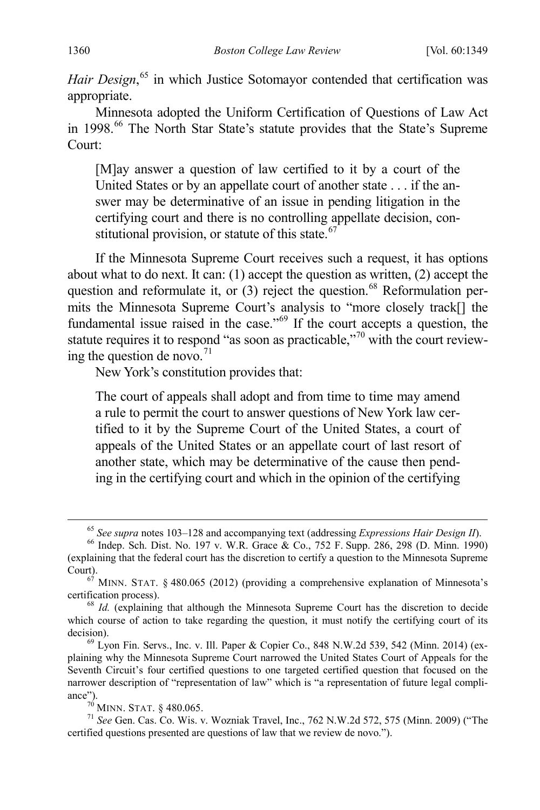Hair Design,<sup>[65](#page-12-0)</sup> in which Justice Sotomayor contended that certification was appropriate.

Minnesota adopted the Uniform Certification of Questions of Law Act in 1998. [66](#page-12-1) The North Star State's statute provides that the State's Supreme Court:

[M]ay answer a question of law certified to it by a court of the United States or by an appellate court of another state . . . if the answer may be determinative of an issue in pending litigation in the certifying court and there is no controlling appellate decision, constitutional provision, or statute of this state. $67$ 

If the Minnesota Supreme Court receives such a request, it has options about what to do next. It can: (1) accept the question as written, (2) accept the question and reformulate it, or  $(3)$  reject the question.<sup>[68](#page-12-3)</sup> Reformulation permits the Minnesota Supreme Court's analysis to "more closely track[] the fundamental issue raised in the case."[69](#page-12-4) If the court accepts a question, the statute requires it to respond "as soon as practicable,"<sup>[70](#page-12-5)</sup> with the court reviewing the question de novo. $71$ 

New York's constitution provides that:

The court of appeals shall adopt and from time to time may amend a rule to permit the court to answer questions of New York law certified to it by the Supreme Court of the United States, a court of appeals of the United States or an appellate court of last resort of another state, which may be determinative of the cause then pending in the certifying court and which in the opinion of the certifying

<span id="page-12-4"></span> $69$  Lyon Fin. Servs., Inc. v. Ill. Paper & Copier Co., 848 N.W.2d 539, 542 (Minn. 2014) (explaining why the Minnesota Supreme Court narrowed the United States Court of Appeals for the Seventh Circuit's four certified questions to one targeted certified question that focused on the narrower description of "representation of law" which is "a representation of future legal compliance").<br>
<sup>70</sup> MINN. STAT. § 480.065.<br>
<sup>71</sup> *See* Gen. Cas. Co. Wis. v. Wozniak Travel, Inc., 762 N.W.2d 572, 575 (Minn. 2009) ("The

<sup>65</sup> *See supra* notes [103–](#page-17-0)[128](#page-20-0) and accompanying text (addressing *Expressions Hair Design II*). <sup>66</sup> Indep. Sch. Dist. No. 197 v. W.R. Grace & Co., 752 F. Supp. 286, 298 (D. Minn. 1990)

<span id="page-12-1"></span><span id="page-12-0"></span><sup>(</sup>explaining that the federal court has the discretion to certify a question to the Minnesota Supreme

<span id="page-12-2"></span> $67$  MINN. STAT. § 480.065 (2012) (providing a comprehensive explanation of Minnesota's certification process). <sup>68</sup> *Id.* (explaining that although the Minnesota Supreme Court has the discretion to decide

<span id="page-12-3"></span>which course of action to take regarding the question, it must notify the certifying court of its decision).

<span id="page-12-6"></span><span id="page-12-5"></span>certified questions presented are questions of law that we review de novo.").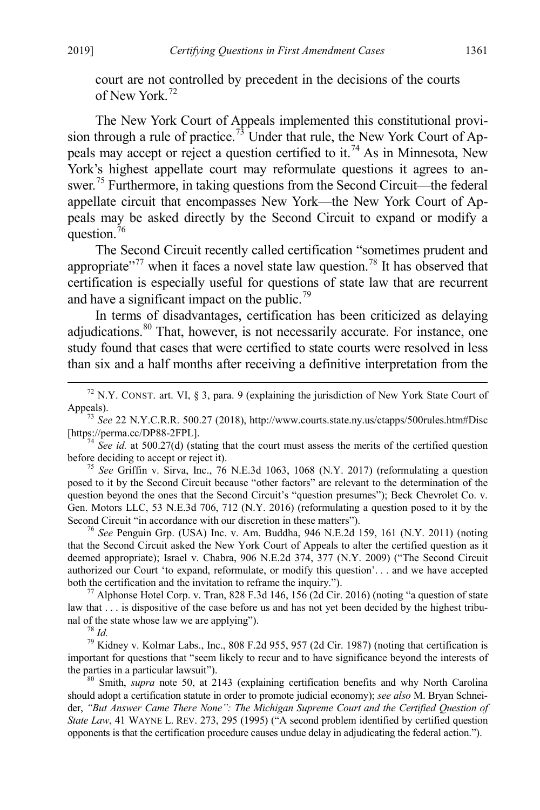court are not controlled by precedent in the decisions of the courts of New York.<sup>[72](#page-13-0)</sup>

The New York Court of Appeals implemented this constitutional provi-sion through a rule of practice.<sup>[73](#page-13-1)</sup> Under that rule, the New York Court of Ap-peals may accept or reject a question certified to it.<sup>[74](#page-13-2)</sup> As in Minnesota, New York's highest appellate court may reformulate questions it agrees to answer.[75](#page-13-3) Furthermore, in taking questions from the Second Circuit—the federal appellate circuit that encompasses New York—the New York Court of Appeals may be asked directly by the Second Circuit to expand or modify a question.<sup>[76](#page-13-4)</sup>

The Second Circuit recently called certification "sometimes prudent and appropriate"<sup>[77](#page-13-5)</sup> when it faces a novel state law question.<sup>[78](#page-13-6)</sup> It has observed that certification is especially useful for questions of state law that are recurrent and have a significant impact on the public.<sup>[79](#page-13-7)</sup>

In terms of disadvantages, certification has been criticized as delaying adjudications. <sup>[80](#page-13-8)</sup> That, however, is not necessarily accurate. For instance, one study found that cases that were certified to state courts were resolved in less than six and a half months after receiving a definitive interpretation from the

<span id="page-13-0"></span><sup>72</sup> N.Y. CONST. art. VI, § 3, para. 9 (explaining the jurisdiction of New York State Court of Appeals). <sup>73</sup> *See* 22 N.Y.C.R.R. 500.27 (2018), http://www.courts.state.ny.us/ctapps/500rules.htm#Disc

<span id="page-13-1"></span>

<span id="page-13-2"></span>[https://perma.cc/DP88-2FPL].<br><sup>74</sup> *See id.* at 500.27(d) (stating that the court must assess the merits of the certified question before deciding to accept or reject it).

<span id="page-13-3"></span><sup>75</sup> *See* Griffin v. Sirva, Inc., 76 N.E.3d 1063, 1068 (N.Y. 2017) (reformulating a question posed to it by the Second Circuit because "other factors" are relevant to the determination of the question beyond the ones that the Second Circuit's "question presumes"); Beck Chevrolet Co. v. Gen. Motors LLC, 53 N.E.3d 706, 712 (N.Y. 2016) (reformulating a question posed to it by the Second Circuit "in accordance with our discretion in these matters"). <sup>76</sup> *See* Penguin Grp. (USA) Inc. v. Am. Buddha, 946 N.E.2d 159, 161 (N.Y. 2011) (noting

<span id="page-13-4"></span>that the Second Circuit asked the New York Court of Appeals to alter the certified question as it deemed appropriate); Israel v. Chabra, 906 N.E.2d 374, 377 (N.Y. 2009) ("The Second Circuit authorized our Court 'to expand, reformulate, or modify this question'. . . and we have accepted both the certification and the invitation to reframe the inquiry.").<br><sup>77</sup> Alphonse Hotel Corp. v. Tran, 828 F.3d 146, 156 (2d Cir. 2016) (noting "a question of state

<span id="page-13-5"></span>law that . . . is dispositive of the case before us and has not yet been decided by the highest tribunal of the state whose law we are applying").<br><sup>78</sup> *Id.* <sup>79</sup> Kidney v. Kolmar Labs., Inc., 808 F.2d 955, 957 (2d Cir. 1987) (noting that certification is

<span id="page-13-7"></span><span id="page-13-6"></span>important for questions that "seem likely to recur and to have significance beyond the interests of the parties in a particular lawsuit").<br><sup>80</sup> Smith, *supra* note [50,](#page-9-6) at 2143 (explaining certification benefits and why North Carolina

<span id="page-13-8"></span>should adopt a certification statute in order to promote judicial economy); *see also* M. Bryan Schneider, *"But Answer Came There None": The Michigan Supreme Court and the Certified Question of State Law*, 41 WAYNE L. REV. 273, 295 (1995) ("A second problem identified by certified question opponents is that the certification procedure causes undue delay in adjudicating the federal action.").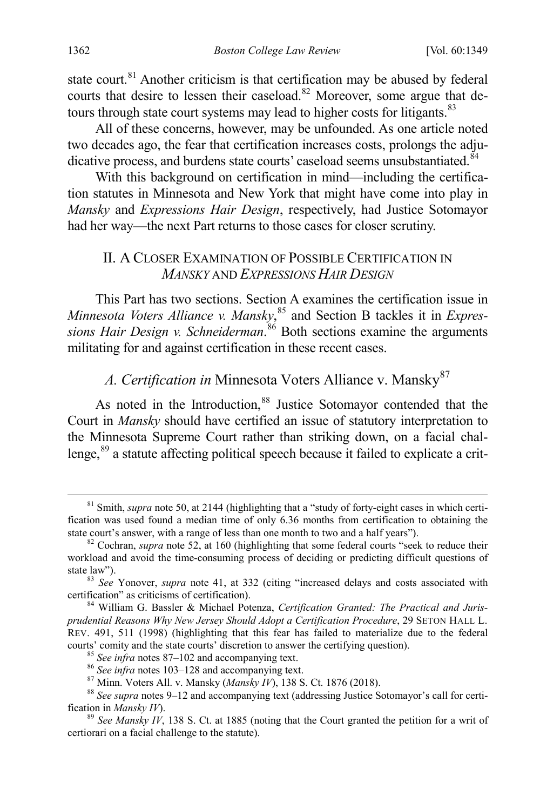state court.<sup>[81](#page-14-2)</sup> Another criticism is that certification may be abused by federal courts that desire to lessen their caseload.<sup>[82](#page-14-3)</sup> Moreover, some argue that de-tours through state court systems may lead to higher costs for litigants.<sup>[83](#page-14-4)</sup>

All of these concerns, however, may be unfounded. As one article noted two decades ago, the fear that certification increases costs, prolongs the adju-dicative process, and burdens state courts' caseload seems unsubstantiated.<sup>[84](#page-14-5)</sup>

With this background on certification in mind—including the certification statutes in Minnesota and New York that might have come into play in *Mansky* and *Expressions Hair Design*, respectively, had Justice Sotomayor had her way—the next Part returns to those cases for closer scrutiny.

### <span id="page-14-0"></span>II. A CLOSER EXAMINATION OF POSSIBLE CERTIFICATION IN *MANSKY* AND *EXPRESSIONS HAIR DESIGN*

This Part has two sections. Section A examines the certification issue in *Minnesota Voters Alliance v. Mansky*, [85](#page-14-6) and Section B tackles it in *Expressions Hair Design v. Schneiderman*. [86](#page-14-7) Both sections examine the arguments militating for and against certification in these recent cases.

# <span id="page-14-1"></span>A. Certification in Minnesota Voters Alliance v. Mansky<sup>[87](#page-14-8)</sup>

As noted in the Introduction,<sup>[88](#page-14-9)</sup> Justice Sotomayor contended that the Court in *Mansky* should have certified an issue of statutory interpretation to the Minnesota Supreme Court rather than striking down, on a facial chal-lenge,<sup>[89](#page-14-10)</sup> a statute affecting political speech because it failed to explicate a crit-

<span id="page-14-2"></span><sup>&</sup>lt;sup>81</sup> Smith, *supra* not[e 50,](#page-9-6) at 2144 (highlighting that a "study of forty-eight cases in which certification was used found a median time of only 6.36 months from certification to obtaining the state court's answer, with a range of less than one month to two and a half years").<br><sup>82</sup> Cochran, *supra* note [52,](#page-10-7) at 160 (highlighting that some federal courts "seek to reduce their

<span id="page-14-3"></span>workload and avoid the time-consuming process of deciding or predicting difficult questions of

<span id="page-14-4"></span>state law"). <sup>83</sup> *See* Yonover, *supra* note [41,](#page-8-9) at 332 (citing "increased delays and costs associated with certification" as criticisms of certification).

<span id="page-14-5"></span><sup>&</sup>lt;sup>84</sup> William G. Bassler & Michael Potenza, *Certification Granted: The Practical and Jurisprudential Reasons Why New Jersey Should Adopt a Certification Procedure*, 29 SETON HALL L. REV. 491, 511 (1998) (highlighting that this fear has failed to materialize due to the federal

<span id="page-14-7"></span><span id="page-14-6"></span>courts' comity and the state courts' discretion to answer the certifying question).<br>
<sup>85</sup> See infra note[s 87–](#page-14-1)102 [a](#page-16-0)nd accompanying text.<br>
<sup>86</sup> See infra note[s 103](#page-17-0)[–128](#page-20-0) and accompanying text.<br>
<sup>87</sup> Minn. Voters All. v. Mansk

<span id="page-14-10"></span><span id="page-14-9"></span><span id="page-14-8"></span><sup>&</sup>lt;sup>89</sup> *See Mansky IV*, 138 S. Ct. at 1885 (noting that the Court granted the petition for a writ of certiorari on a facial challenge to the statute).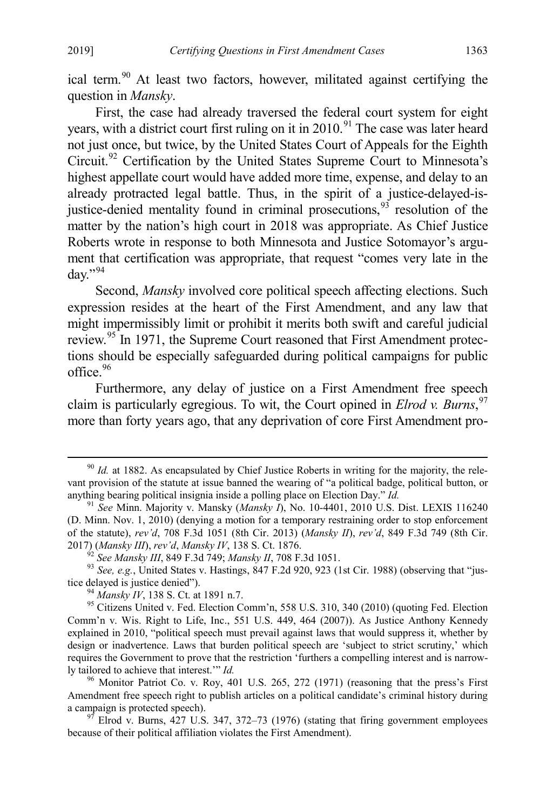ical term.<sup>[90](#page-15-0)</sup> At least two factors, however, militated against certifying the question in *Mansky*.

First, the case had already traversed the federal court system for eight years, with a district court first ruling on it in  $2010$ .<sup>[91](#page-15-1)</sup> The case was later heard not just once, but twice, by the United States Court of Appeals for the Eighth Circuit.[92](#page-15-2) Certification by the United States Supreme Court to Minnesota's highest appellate court would have added more time, expense, and delay to an already protracted legal battle. Thus, in the spirit of a justice-delayed-isjustice-denied mentality found in criminal prosecutions,  $93$  resolution of the matter by the nation's high court in 2018 was appropriate. As Chief Justice Roberts wrote in response to both Minnesota and Justice Sotomayor's argument that certification was appropriate, that request "comes very late in the day." $^{94}$  $^{94}$  $^{94}$ 

<span id="page-15-8"></span>Second, *Mansky* involved core political speech affecting elections. Such expression resides at the heart of the First Amendment, and any law that might impermissibly limit or prohibit it merits both swift and careful judicial review.[95](#page-15-5) In 1971, the Supreme Court reasoned that First Amendment protections should be especially safeguarded during political campaigns for public office.<sup>96</sup>

<span id="page-15-9"></span>Furthermore, any delay of justice on a First Amendment free speech claim is particularly egregious. To wit, the Court opined in *Elrod v. Burns*, [97](#page-15-7) more than forty years ago, that any deprivation of core First Amendment pro-

<span id="page-15-0"></span><sup>&</sup>lt;sup>90</sup> *Id.* at 1882. As encapsulated by Chief Justice Roberts in writing for the majority, the relevant provision of the statute at issue banned the wearing of "a political badge, political button, or anything bearing political insignia inside a polling place on Election Day."  $Id$ .

<span id="page-15-1"></span><sup>&</sup>lt;sup>91</sup> See Minn. Majority v. Mansky (*Mansky I*), No. 10-4401, 2010 U.S. Dist. LEXIS 116240 (D. Minn. Nov. 1, 2010) (denying a motion for a temporary restraining order to stop enforcement of the statute), *rev'd*, 708 F.3d 1051 (8th Cir. 2013) (*Mansky II*), *rev'd*, 849 F.3d 749 (8th Cir.

<span id="page-15-2"></span><sup>2017) (</sup>*Mansky III*), rev'd, *Mansky IV*, 138 S. Ct. 1876.<br><sup>92</sup> See Mansky III, 849 F.3d 749; *Mansky II*, 708 F.3d 1051.<br><sup>93</sup> See, e.g., United States v. Hastings, 847 F.2d 920, 923 (1st Cir. 1988) (observing that "justi

<span id="page-15-5"></span><span id="page-15-4"></span><span id="page-15-3"></span><sup>&</sup>lt;sup>94</sup> *Mansky IV*, 138 S. Ct. at 1891 n.7.<br><sup>95</sup> Citizens United v. Fed. Election Comm'n, 558 U.S. 310, 340 (2010) (quoting Fed. Election Comm'n v. Wis. Right to Life, Inc., 551 U.S. 449, 464 (2007)). As Justice Anthony Kennedy explained in 2010, "political speech must prevail against laws that would suppress it, whether by design or inadvertence. Laws that burden political speech are 'subject to strict scrutiny,' which requires the Government to prove that the restriction 'furthers a compelling interest and is narrow-<br>ly tailored to achieve that interest."  $Id$ .

<span id="page-15-6"></span><sup>&</sup>lt;sup>96</sup> Monitor Patriot Co. v. Roy, 401 U.S. 265, 272 (1971) (reasoning that the press's First Amendment free speech right to publish articles on a political candidate's criminal history during a campaign is protected speech).<br><sup>97</sup> Elrod v. Burns, 427 U.S. 347, 372–73 (1976) (stating that firing government employees

<span id="page-15-7"></span>because of their political affiliation violates the First Amendment).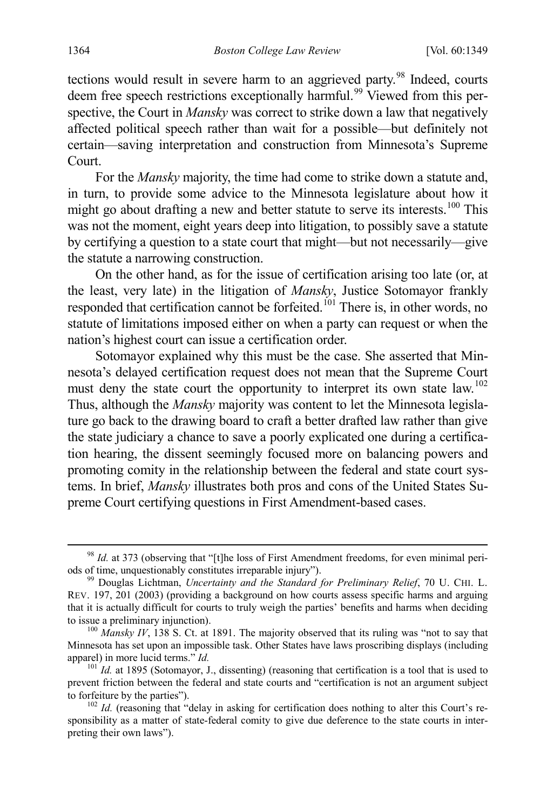tections would result in severe harm to an aggrieved party.<sup>[98](#page-16-1)</sup> Indeed, courts deem free speech restrictions exceptionally harmful.<sup>[99](#page-16-2)</sup> Viewed from this perspective, the Court in *Mansky* was correct to strike down a law that negatively affected political speech rather than wait for a possible—but definitely not certain—saving interpretation and construction from Minnesota's Supreme Court.

For the *Mansky* majority, the time had come to strike down a statute and, in turn, to provide some advice to the Minnesota legislature about how it might go about drafting a new and better statute to serve its interests.<sup>[100](#page-16-3)</sup> This was not the moment, eight years deep into litigation, to possibly save a statute by certifying a question to a state court that might—but not necessarily—give the statute a narrowing construction.

On the other hand, as for the issue of certification arising too late (or, at the least, very late) in the litigation of *Mansky*, Justice Sotomayor frankly responded that certification cannot be forfeited.<sup>[101](#page-16-4)</sup> There is, in other words, no statute of limitations imposed either on when a party can request or when the nation's highest court can issue a certification order.

<span id="page-16-0"></span>Sotomayor explained why this must be the case. She asserted that Minnesota's delayed certification request does not mean that the Supreme Court must deny the state court the opportunity to interpret its own state law.<sup>[102](#page-16-5)</sup> Thus, although the *Mansky* majority was content to let the Minnesota legislature go back to the drawing board to craft a better drafted law rather than give the state judiciary a chance to save a poorly explicated one during a certification hearing, the dissent seemingly focused more on balancing powers and promoting comity in the relationship between the federal and state court systems. In brief, *Mansky* illustrates both pros and cons of the United States Supreme Court certifying questions in First Amendment-based cases.

<span id="page-16-1"></span><sup>&</sup>lt;sup>98</sup> *Id.* at 373 (observing that "[t]he loss of First Amendment freedoms, for even minimal periods of time, unquestionably constitutes irreparable injury"). 99 Douglas Lichtman, *Uncertainty and the Standard for Preliminary Relief*, 70 U. CHI. L.

<span id="page-16-2"></span>REV. 197, 201 (2003) (providing a background on how courts assess specific harms and arguing that it is actually difficult for courts to truly weigh the parties' benefits and harms when deciding to issue a preliminary injunction).<br><sup>100</sup> *Mansky IV*, 138 S. Ct. at 1891. The majority observed that its ruling was "not to say that

<span id="page-16-3"></span>Minnesota has set upon an impossible task. Other States have laws proscribing displays (including apparel) in more lucid terms." *Id.* 101 *Id.* 101 *Id.* 101 *Id.* 101 *Id.* at 1895 (Sotomayor, J., dissenting) (reasoning that certification is a tool that is used to

<span id="page-16-4"></span>prevent friction between the federal and state courts and "certification is not an argument subject to forfeiture by the parties").

<span id="page-16-5"></span><sup>&</sup>lt;sup>102</sup> *Id.* (reasoning that "delay in asking for certification does nothing to alter this Court's responsibility as a matter of state-federal comity to give due deference to the state courts in interpreting their own laws").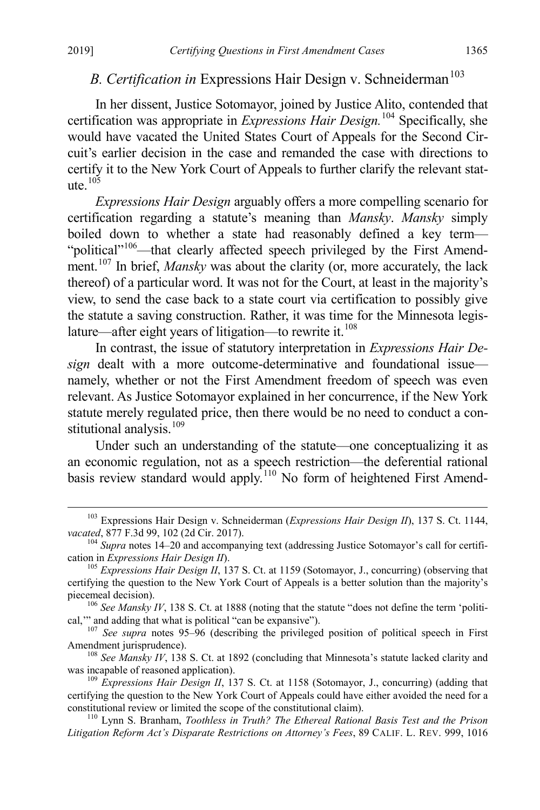# <span id="page-17-0"></span>*B. Certification in* Expressions Hair Design v. Schneiderman<sup>[103](#page-17-1)</sup>

In her dissent, Justice Sotomayor, joined by Justice Alito, contended that certification was appropriate in *Expressions Hair Design.*[104](#page-17-2) Specifically, she would have vacated the United States Court of Appeals for the Second Circuit's earlier decision in the case and remanded the case with directions to certify it to the New York Court of Appeals to further clarify the relevant statute $105$ 

*Expressions Hair Design* arguably offers a more compelling scenario for certification regarding a statute's meaning than *Mansky*. *Mansky* simply boiled down to whether a state had reasonably defined a key term— "political"<sup>106</sup>—that clearly affected speech privileged by the First Amend-ment.<sup>[107](#page-17-5)</sup> In brief, *Mansky* was about the clarity (or, more accurately, the lack thereof) of a particular word. It was not for the Court, at least in the majority's view, to send the case back to a state court via certification to possibly give the statute a saving construction. Rather, it was time for the Minnesota legislature—after eight years of litigation—to rewrite it. $108$ 

In contrast, the issue of statutory interpretation in *Expressions Hair Design* dealt with a more outcome-determinative and foundational issue namely, whether or not the First Amendment freedom of speech was even relevant. As Justice Sotomayor explained in her concurrence, if the New York statute merely regulated price, then there would be no need to conduct a constitutional analysis. $109$ 

<span id="page-17-10"></span><span id="page-17-9"></span>Under such an understanding of the statute—one conceptualizing it as an economic regulation, not as a speech restriction—the deferential rational basis review standard would apply.<sup>[110](#page-17-8)</sup> No form of heightened First Amend-

<span id="page-17-1"></span><sup>&</sup>lt;sup>103</sup> Expressions Hair Design v. Schneiderman (*Expressions Hair Design II*), 137 S. Ct. 1144, *vacated*, 877 F.3d 99, 102 (2d Cir. 2017).

<span id="page-17-2"></span><sup>&</sup>lt;sup>104</sup> *Supra* notes [14–](#page-5-8)[20](#page-5-9) and accompanying text (addressing Justice Sotomayor's call for certifi-<br>cation in *Expressions Hair Design II*).

<span id="page-17-3"></span><sup>&</sup>lt;sup>105</sup> *Expressions Hair Design II*, 137 S. Ct. at 1159 (Sotomayor, J., concurring) (observing that certifying the question to the New York Court of Appeals is a better solution than the majority's

<span id="page-17-4"></span>piecemeal decision).<br><sup>106</sup> *See Mansky IV*, 138 S. Ct. at 1888 (noting that the statute "does not define the term 'politi-<br>cal," and adding that what is political "can be expansive").

<span id="page-17-5"></span><sup>&</sup>lt;sup>107</sup> *See supra* notes [95](#page-15-8)[–96](#page-15-9) (describing the privileged position of political speech in First Amendment jurisprudence).

<span id="page-17-6"></span><sup>&</sup>lt;sup>108</sup> *See Mansky IV*, 138 S. Ct. at 1892 (concluding that Minnesota's statute lacked clarity and was incapable of reasoned application).

<span id="page-17-7"></span><sup>&</sup>lt;sup>109</sup> *Expressions Hair Design II*, 137 S. Ct. at 1158 (Sotomayor, J., concurring) (adding that certifying the question to the New York Court of Appeals could have either avoided the need for a constitutional review or limited the scope of the constitutional claim). <sup>110</sup> Lynn S. Branham, *Toothless in Truth? The Ethereal Rational Basis Test and the Prison* 

<span id="page-17-8"></span>*Litigation Reform Act's Disparate Restrictions on Attorney's Fees*, 89 CALIF. L. REV. 999, 1016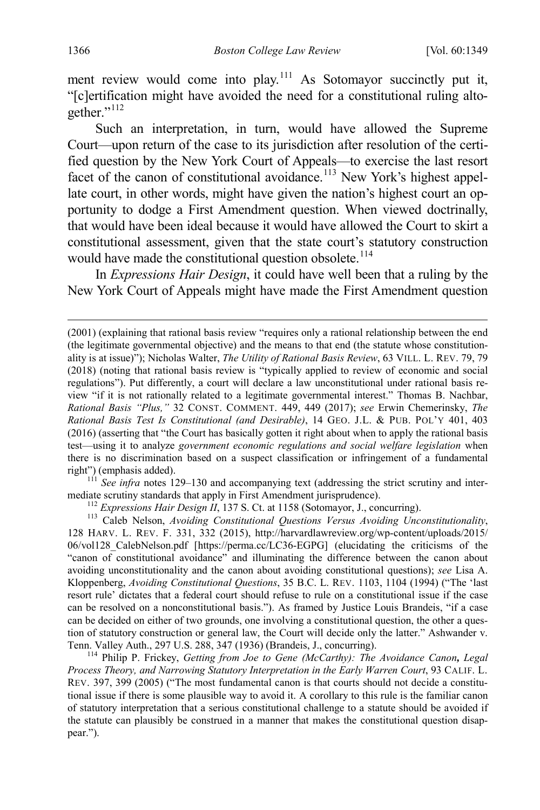ment review would come into play.<sup>[111](#page-18-2)</sup> As Sotomayor succinctly put it, "[c]ertification might have avoided the need for a constitutional ruling alto-gether."<sup>[112](#page-18-3)</sup>

<span id="page-18-6"></span><span id="page-18-0"></span>Such an interpretation, in turn, would have allowed the Supreme Court—upon return of the case to its jurisdiction after resolution of the certified question by the New York Court of Appeals—to exercise the last resort facet of the canon of constitutional avoidance.<sup>[113](#page-18-4)</sup> New York's highest appellate court, in other words, might have given the nation's highest court an opportunity to dodge a First Amendment question. When viewed doctrinally, that would have been ideal because it would have allowed the Court to skirt a constitutional assessment, given that the state court's statutory construction would have made the constitutional question obsolete.<sup>[114](#page-18-5)</sup>

<span id="page-18-1"></span>In *Expressions Hair Design*, it could have well been that a ruling by the New York Court of Appeals might have made the First Amendment question

<span id="page-18-2"></span> $1^{11}$  *See infra* notes [129](#page-21-0)[–130](#page-21-1) and accompanying text (addressing the strict scrutiny and intermediate scrutiny standards that apply in First Amendment jurisprudence).<br><sup>112</sup> *Expressions Hair Design II*, 137 S. Ct. at 1158 (Sotomayor, J., concurring).<br><sup>113</sup> Caleb Nelson, *Avoiding Constitutional Questions Versus Avo* 

<span id="page-18-5"></span>*Process Theory, and Narrowing Statutory Interpretation in the Early Warren Court*, 93 CALIF. L. REV. 397, 399 (2005) ("The most fundamental canon is that courts should not decide a constitutional issue if there is some plausible way to avoid it. A corollary to this rule is the familiar canon of statutory interpretation that a serious constitutional challenge to a statute should be avoided if the statute can plausibly be construed in a manner that makes the constitutional question disappear.").

 <sup>(2001) (</sup>explaining that rational basis review "requires only a rational relationship between the end (the legitimate governmental objective) and the means to that end (the statute whose constitutionality is at issue)"); Nicholas Walter, *The Utility of Rational Basis Review*, 63 VILL. L. REV. 79, 79 (2018) (noting that rational basis review is "typically applied to review of economic and social regulations"). Put differently, a court will declare a law unconstitutional under rational basis review "if it is not rationally related to a legitimate governmental interest." Thomas B. Nachbar, *Rational Basis "Plus,"* 32 CONST. COMMENT. 449, 449 (2017); *see* Erwin Chemerinsky, *The Rational Basis Test Is Constitutional (and Desirable)*, 14 GEO. J.L. & PUB. POL'Y 401, 403 (2016) (asserting that "the Court has basically gotten it right about when to apply the rational basis test—using it to analyze *government economic regulations and social welfare legislation* when there is no discrimination based on a suspect classification or infringement of a fundamental right") (emphasis added).

<span id="page-18-4"></span><span id="page-18-3"></span><sup>128</sup> HARV. L. REV. F. 331, 332 (2015), http://harvardlawreview.org/wp-content/uploads/2015/ 06/vol128\_CalebNelson.pdf [https://perma.cc/LC36-EGPG] (elucidating the criticisms of the "canon of constitutional avoidance" and illuminating the difference between the canon about avoiding unconstitutionality and the canon about avoiding constitutional questions); *see* Lisa A. Kloppenberg, *Avoiding Constitutional Questions*, 35 B.C. L. REV. 1103, 1104 (1994) ("The 'last resort rule' dictates that a federal court should refuse to rule on a constitutional issue if the case can be resolved on a nonconstitutional basis."). As framed by Justice Louis Brandeis, "if a case can be decided on either of two grounds, one involving a constitutional question, the other a question of statutory construction or general law, the Court will decide only the latter." Ashwander v. Tenn. Valley Auth., 297 U.S. 288, 347 (1936) (Brandeis, J., concurring). <sup>114</sup> Philip P. Frickey, *Getting from Joe to Gene (McCarthy): The Avoidance Canon, Legal*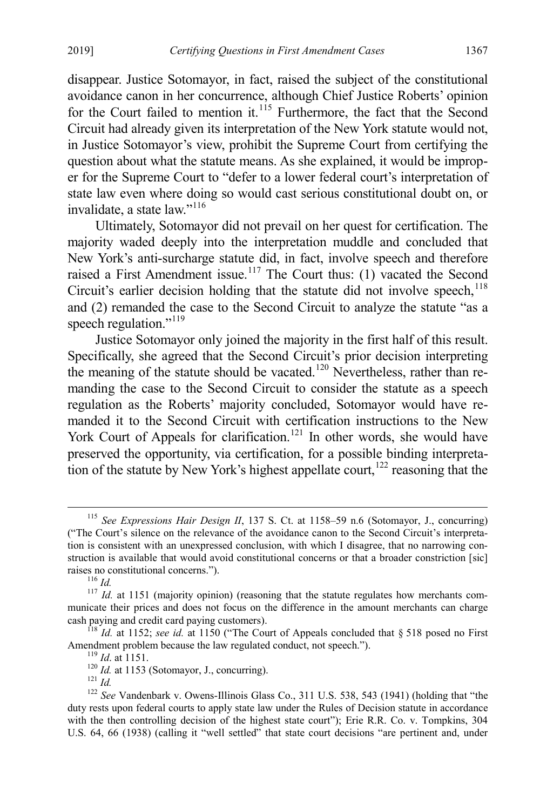disappear. Justice Sotomayor, in fact, raised the subject of the constitutional avoidance canon in her concurrence, although Chief Justice Roberts' opinion for the Court failed to mention it.<sup>[115](#page-19-0)</sup> Furthermore, the fact that the Second Circuit had already given its interpretation of the New York statute would not, in Justice Sotomayor's view, prohibit the Supreme Court from certifying the question about what the statute means. As she explained, it would be improper for the Supreme Court to "defer to a lower federal court's interpretation of state law even where doing so would cast serious constitutional doubt on, or invalidate, a state law."<sup>[116](#page-19-1)</sup>

Ultimately, Sotomayor did not prevail on her quest for certification. The majority waded deeply into the interpretation muddle and concluded that New York's anti-surcharge statute did, in fact, involve speech and therefore raised a First Amendment issue.<sup>[117](#page-19-2)</sup> The Court thus: (1) vacated the Second Circuit's earlier decision holding that the statute did not involve speech,<sup>[118](#page-19-3)</sup> and (2) remanded the case to the Second Circuit to analyze the statute "as a speech regulation."<sup>[119](#page-19-4)</sup>

Justice Sotomayor only joined the majority in the first half of this result. Specifically, she agreed that the Second Circuit's prior decision interpreting the meaning of the statute should be vacated.<sup>[120](#page-19-5)</sup> Nevertheless, rather than remanding the case to the Second Circuit to consider the statute as a speech regulation as the Roberts' majority concluded, Sotomayor would have remanded it to the Second Circuit with certification instructions to the New York Court of Appeals for clarification.<sup>[121](#page-19-6)</sup> In other words, she would have preserved the opportunity, via certification, for a possible binding interpretation of the statute by New York's highest appellate court,  $122$  reasoning that the

<span id="page-19-0"></span> <sup>115</sup> *See Expressions Hair Design II*, 137 S. Ct. at 1158–59 n.6 (Sotomayor, J., concurring) ("The Court's silence on the relevance of the avoidance canon to the Second Circuit's interpretation is consistent with an unexpressed conclusion, with which I disagree, that no narrowing construction is available that would avoid constitutional concerns or that a broader constriction [sic]

<span id="page-19-2"></span><span id="page-19-1"></span>raises no constitutional concerns.").<br><sup>116</sup> *Id. IIT Id.* at 1151 (majority opinion) (reasoning that the statute regulates how merchants com-<br><sup>117</sup> *Id.* at 1151 (majority opinion) (reasoning that the statute regulates h municate their prices and does not focus on the difference in the amount merchants can charge

<span id="page-19-3"></span>cash paying and credit card paying customers).<br><sup>118</sup> *Id.* at 1152; *see id.* at 1150 ("The Court of Appeals concluded that § 518 posed no First Amendment problem because the law regulated conduct, not speech.").

<span id="page-19-7"></span><span id="page-19-6"></span><span id="page-19-5"></span><span id="page-19-4"></span><sup>&</sup>lt;sup>119</sup> *Id.* at 1151.<br><sup>120</sup> *Id.* at 1153 (Sotomayor, J., concurring).<br><sup>121</sup> *Id.*<br><sup>121</sup> *Id.* 22 *See* Vandenbark v. Owens-Illinois Glass Co., 311 U.S. 538, 543 (1941) (holding that "the duty rests upon federal courts to apply state law under the Rules of Decision statute in accordance with the then controlling decision of the highest state court"); Erie R.R. Co. v. Tompkins, 304 U.S. 64, 66 (1938) (calling it "well settled" that state court decisions "are pertinent and, under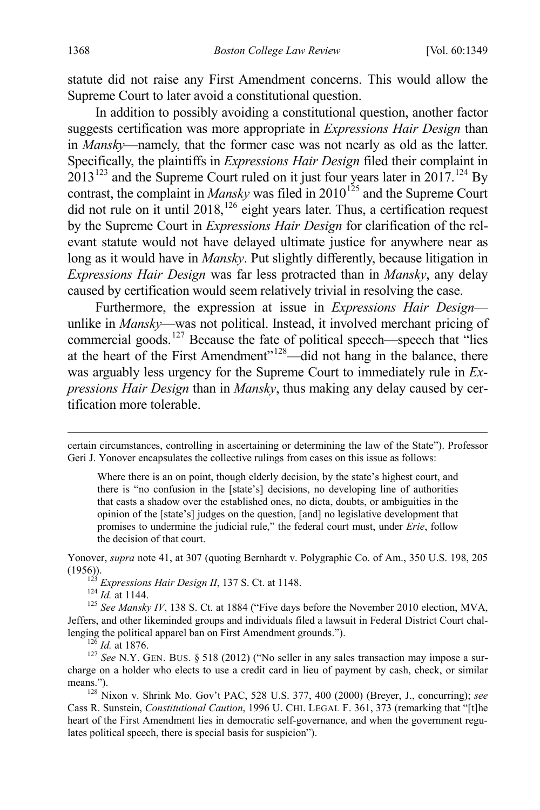statute did not raise any First Amendment concerns. This would allow the Supreme Court to later avoid a constitutional question.

<span id="page-20-8"></span><span id="page-20-7"></span>In addition to possibly avoiding a constitutional question, another factor suggests certification was more appropriate in *Expressions Hair Design* than in *Mansky*—namely, that the former case was not nearly as old as the latter. Specifically, the plaintiffs in *Expressions Hair Design* filed their complaint in  $2013^{123}$  $2013^{123}$  $2013^{123}$  and the Supreme Court ruled on it just four years later in 2017.<sup>[124](#page-20-2)</sup> By contrast, the complaint in *Mansky* was filed in 2010<sup>[125](#page-20-3)</sup> and the Supreme Court did not rule on it until  $2018$ ,  $^{126}$  $^{126}$  $^{126}$  eight years later. Thus, a certification request by the Supreme Court in *Expressions Hair Design* for clarification of the relevant statute would not have delayed ultimate justice for anywhere near as long as it would have in *Mansky*. Put slightly differently, because litigation in *Expressions Hair Design* was far less protracted than in *Mansky*, any delay caused by certification would seem relatively trivial in resolving the case.

<span id="page-20-0"></span>Furthermore, the expression at issue in *Expressions Hair Design* unlike in *Mansky*—was not political. Instead, it involved merchant pricing of commercial goods.<sup>[127](#page-20-5)</sup> Because the fate of political speech—speech that "lies at the heart of the First Amendment"[128—](#page-20-6)did not hang in the balance, there was arguably less urgency for the Supreme Court to immediately rule in *Expressions Hair Design* than in *Mansky*, thus making any delay caused by certification more tolerable.

<span id="page-20-1"></span>Yonover, *supra* note [41,](#page-8-9) at 307 (quoting Bernhardt v. Polygraphic Co. of Am., 350 U.S. 198, 205 (1956)).<br><sup>123</sup> *Expressions Hair Design II*, 137 S. Ct. at 1148.<br><sup>124</sup> *Id.* at 1144.<br><sup>125</sup> *See Mansky IV*, 138 S. Ct. at 1884 ("Five days before the November 2010 election, MVA,

<span id="page-20-3"></span><span id="page-20-2"></span>Jeffers, and other likeminded groups and individuals filed a lawsuit in Federal District Court challenging the political apparel ban on First Amendment grounds.").<br><sup>126</sup> *Id.* at 1876.<br><sup>127</sup> *See* N.Y. GEN. BUS. § 518 (2012) ("No seller in any sales transaction may impose a sur-

<span id="page-20-5"></span><span id="page-20-4"></span>charge on a holder who elects to use a credit card in lieu of payment by cash, check, or similar means."). <sup>128</sup> Nixon v. Shrink Mo. Gov't PAC, 528 U.S. 377, 400 (2000) (Breyer, J., concurring); *see*

<span id="page-20-6"></span>Cass R. Sunstein, *Constitutional Caution*, 1996 U. CHI. LEGAL F. 361, 373 (remarking that "[t]he heart of the First Amendment lies in democratic self-governance, and when the government regulates political speech, there is special basis for suspicion").

certain circumstances, controlling in ascertaining or determining the law of the State"). Professor Geri J. Yonover encapsulates the collective rulings from cases on this issue as follows:

Where there is an on point, though elderly decision, by the state's highest court, and there is "no confusion in the [state's] decisions, no developing line of authorities that casts a shadow over the established ones, no dicta, doubts, or ambiguities in the opinion of the [state's] judges on the question, [and] no legislative development that promises to undermine the judicial rule," the federal court must, under *Erie*, follow the decision of that court.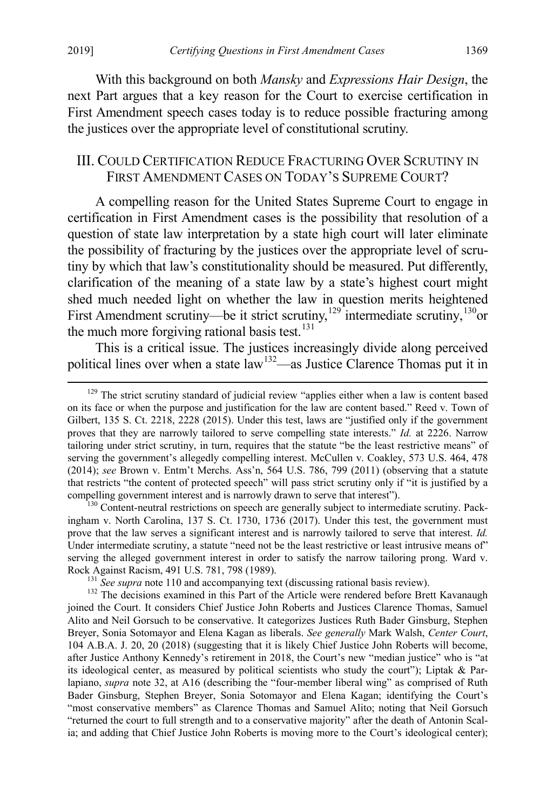With this background on both *Mansky* and *Expressions Hair Design*, the next Part argues that a key reason for the Court to exercise certification in First Amendment speech cases today is to reduce possible fracturing among the justices over the appropriate level of constitutional scrutiny.

### III. COULD CERTIFICATION REDUCE FRACTURING OVER SCRUTINY IN FIRST AMENDMENT CASES ON TODAY'S SUPREME COURT?

A compelling reason for the United States Supreme Court to engage in certification in First Amendment cases is the possibility that resolution of a question of state law interpretation by a state high court will later eliminate the possibility of fracturing by the justices over the appropriate level of scrutiny by which that law's constitutionality should be measured. Put differently, clarification of the meaning of a state law by a state's highest court might shed much needed light on whether the law in question merits heightened First Amendment scrutiny—be it strict scrutiny,<sup>[129](#page-21-2)</sup> intermediate scrutiny,<sup>[130](#page-21-3)</sup>or the much more forgiving rational basis test.<sup>[131](#page-21-4)</sup>

<span id="page-21-1"></span><span id="page-21-0"></span>This is a critical issue. The justices increasingly divide along perceived political lines over when a state law<sup>132</sup>—as Justice Clarence Thomas put it in

<span id="page-21-3"></span>ingham v. North Carolina, 137 S. Ct. 1730, 1736 (2017). Under this test, the government must prove that the law serves a significant interest and is narrowly tailored to serve that interest. *Id.* Under intermediate scrutiny, a statute "need not be the least restrictive or least intrusive means of" serving the alleged government interest in order to satisfy the narrow tailoring prong. Ward v.

<span id="page-21-5"></span><span id="page-21-4"></span>Rock Against Racism, 491 U.S. 781, 798 (1989).<br><sup>131</sup> See supra not[e 110](#page-17-9) and accompanying text (discussing rational basis review).<br><sup>132</sup> The decisions examined in this Part of the Article were rendered before Brett Kavanaug joined the Court. It considers Chief Justice John Roberts and Justices Clarence Thomas, Samuel Alito and Neil Gorsuch to be conservative. It categorizes Justices Ruth Bader Ginsburg, Stephen Breyer, Sonia Sotomayor and Elena Kagan as liberals. *See generally* Mark Walsh, *Center Court*, 104 A.B.A. J. 20, 20 (2018) (suggesting that it is likely Chief Justice John Roberts will become, after Justice Anthony Kennedy's retirement in 2018, the Court's new "median justice" who is "at its ideological center, as measured by political scientists who study the court"); Liptak & Parlapiano, *supra* note [32,](#page-7-8) at A16 (describing the "four-member liberal wing" as comprised of Ruth Bader Ginsburg, Stephen Breyer, Sonia Sotomayor and Elena Kagan; identifying the Court's "most conservative members" as Clarence Thomas and Samuel Alito; noting that Neil Gorsuch "returned the court to full strength and to a conservative majority" after the death of Antonin Scalia; and adding that Chief Justice John Roberts is moving more to the Court's ideological center);

<span id="page-21-2"></span><sup>&</sup>lt;sup>129</sup> The strict scrutiny standard of judicial review "applies either when a law is content based on its face or when the purpose and justification for the law are content based." Reed v. Town of Gilbert, 135 S. Ct. 2218, 2228 (2015). Under this test, laws are "justified only if the government proves that they are narrowly tailored to serve compelling state interests." *Id.* at 2226. Narrow tailoring under strict scrutiny, in turn, requires that the statute "be the least restrictive means" of serving the government's allegedly compelling interest. McCullen v. Coakley, 573 U.S. 464, 478 (2014); *see* Brown v. Entm't Merchs. Ass'n, 564 U.S. 786, 799 (2011) (observing that a statute that restricts "the content of protected speech" will pass strict scrutiny only if "it is justified by a compelling government interest and is narrowly drawn to serve that interest").<br><sup>130</sup> Content-neutral restrictions on speech are generally subject to intermediate scrutiny. Pack-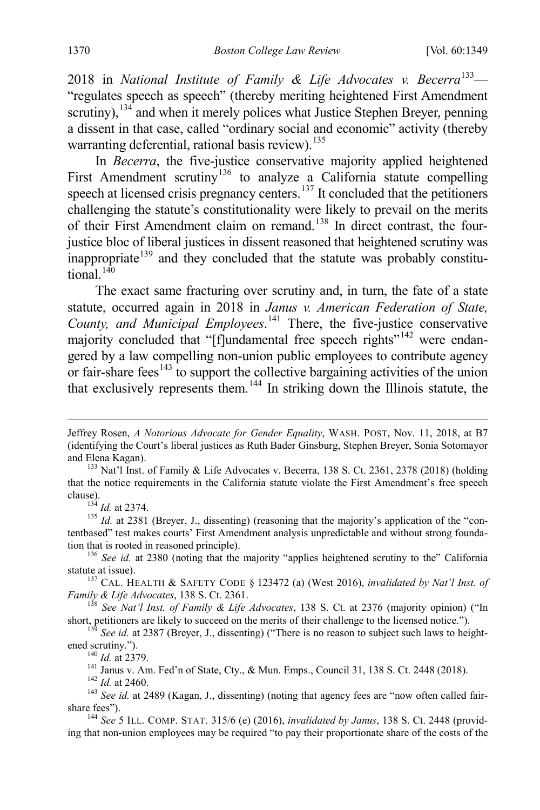2018 in *National Institute of Family & Life Advocates v. Becerra*[133](#page-22-0)— "regulates speech as speech" (thereby meriting heightened First Amendment scrutiny),  $134$  and when it merely polices what Justice Stephen Breyer, penning a dissent in that case, called "ordinary social and economic" activity (thereby warranting deferential, rational basis review).<sup>135</sup>

In *Becerra*, the five-justice conservative majority applied heightened First Amendment scrutiny<sup>[136](#page-22-3)</sup> to analyze a California statute compelling speech at licensed crisis pregnancy centers.<sup>[137](#page-22-4)</sup> It concluded that the petitioners challenging the statute's constitutionality were likely to prevail on the merits of their First Amendment claim on remand.[138](#page-22-5) In direct contrast, the fourjustice bloc of liberal justices in dissent reasoned that heightened scrutiny was  $\frac{1}{3}$  inappropriate<sup>[139](#page-22-6)</sup> and they concluded that the statute was probably constitu $t$ <sub>tional</sub>  $140$ 

The exact same fracturing over scrutiny and, in turn, the fate of a state statute, occurred again in 2018 in *Janus v. American Federation of State, County, and Municipal Employees*. [141](#page-22-8) There, the five-justice conservative majority concluded that "[f]undamental free speech rights"<sup>[142](#page-22-9)</sup> were endangered by a law compelling non-union public employees to contribute agency or fair-share fees<sup>[143](#page-22-10)</sup> to support the collective bargaining activities of the union that exclusively represents them.<sup>[144](#page-22-11)</sup> In striking down the Illinois statute, the

<span id="page-22-2"></span><span id="page-22-1"></span><sup>134</sup> *Id.* at 2374.<br><sup>135</sup> *Id.* at 2381 (Breyer, J., dissenting) (reasoning that the majority's application of the "contentbased" test makes courts' First Amendment analysis unpredictable and without strong founda-

<span id="page-22-3"></span>tion that is rooted in reasoned principle).<br><sup>136</sup> *See id.* at 2380 (noting that the majority "applies heightened scrutiny to the" California statute at issue).

<span id="page-22-4"></span><sup>137</sup> CAL. HEALTH & SAFETY CODE § 123472 (a) (West 2016), *invalidated by Nat'l Inst. of Family & Life Advocates*, 138 S. Ct. 2361.

<span id="page-22-5"></span><sup>158</sup> See<sup>Nat'l</sup> Inst. of Family & Life Advocates, 138 S. Ct. at 2376 (majority opinion) ("In short, petitioners are likely to succeed on the merits of their challenge to the licensed notice.").

<span id="page-22-7"></span><span id="page-22-6"></span><sup>139</sup> *See id.* at 2387 (Breyer, J., dissenting) ("There is no reason to subject such laws to heightened scrutiny.").

<sup>140</sup> *Id.* at 2379.<br><sup>141</sup> Janus v. Am. Fed'n of State, Cty., & Mun. Emps., Council 31, 138 S. Ct. 2448 (2018).<br><sup>142</sup> *Id.* at 2460.<br><sup>142</sup> *Id.* at 2460.<br><sup>143</sup> *See id.* at 2489 (Kagan, J., dissenting) (noting that agency

Jeffrey Rosen, *A Notorious Advocate for Gender Equality*, WASH. POST, Nov. 11, 2018, at B7 (identifying the Court's liberal justices as Ruth Bader Ginsburg, Stephen Breyer, Sonia Sotomayor

<span id="page-22-0"></span><sup>&</sup>lt;sup>133</sup> Nat'l Inst. of Family & Life Advocates v. Becerra, 138 S. Ct. 2361, 2378 (2018) (holding that the notice requirements in the California statute violate the First Amendment's free speech

<span id="page-22-10"></span><span id="page-22-9"></span><span id="page-22-8"></span>share fees"). <sup>144</sup> *See* 5 ILL. COMP. STAT. 315/6 (e) (2016), *invalidated by Janus*, 138 S. Ct. 2448 (provid-

<span id="page-22-11"></span>ing that non-union employees may be required "to pay their proportionate share of the costs of the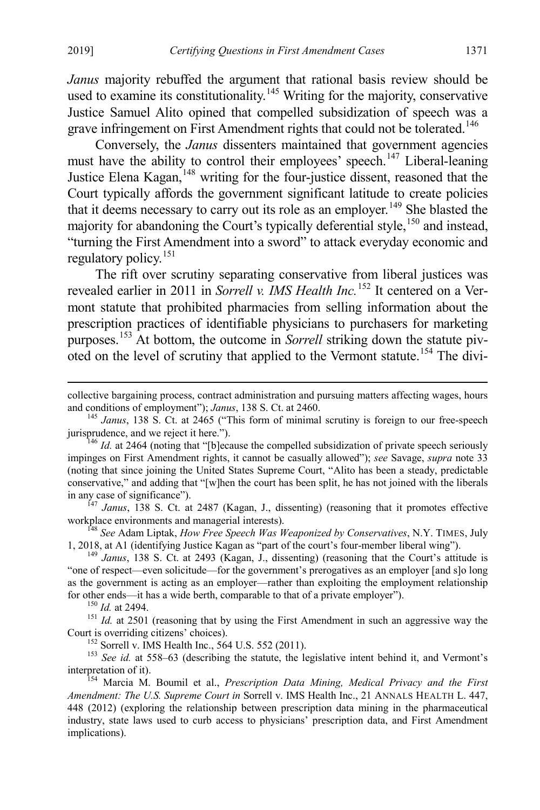*Janus* majority rebuffed the argument that rational basis review should be used to examine its constitutionality.<sup>[145](#page-23-0)</sup> Writing for the majority, conservative Justice Samuel Alito opined that compelled subsidization of speech was a grave infringement on First Amendment rights that could not be tolerated.<sup>[146](#page-23-1)</sup>

Conversely, the *Janus* dissenters maintained that government agencies must have the ability to control their employees' speech.<sup>147</sup> Liberal-leaning Justice Elena Kagan, <sup>[148](#page-23-3)</sup> writing for the four-justice dissent, reasoned that the Court typically affords the government significant latitude to create policies that it deems necessary to carry out its role as an employer.<sup>[149](#page-23-4)</sup> She blasted the majority for abandoning the Court's typically deferential style, <sup>[150](#page-23-5)</sup> and instead, "turning the First Amendment into a sword" to attack everyday economic and regulatory policy.<sup>[151](#page-23-6)</sup>

The rift over scrutiny separating conservative from liberal justices was revealed earlier in 2011 in *Sorrell v. IMS Health Inc.*[152](#page-23-7) It centered on a Vermont statute that prohibited pharmacies from selling information about the prescription practices of identifiable physicians to purchasers for marketing purposes.[153](#page-23-8) At bottom, the outcome in *Sorrell* striking down the statute piv-oted on the level of scrutiny that applied to the Vermont statute.<sup>[154](#page-23-9)</sup> The divi-

<span id="page-23-2"></span>in any case of significance").<br><sup>147</sup> *Janus*, 138 S. Ct. at 2487 (Kagan, J., dissenting) (reasoning that it promotes effective workplace environments and managerial interests).

<span id="page-23-3"></span><sup>148</sup> See Adam Liptak, *How Free Speech Was Weaponized by Conservatives*, N.Y. TIMES, July 1, 2018, at A1 (identifying Justice Kagan as "part of the court's four-member liberal wing"). <sup>149</sup> *Janus*, 138 S. Ct. at 2493 (Kagan, J., dissenting) (reasoning that the Court's attitude is

<span id="page-23-4"></span>"one of respect—even solicitude—for the government's prerogatives as an employer [and s]o long as the government is acting as an employer—rather than exploiting the employment relationship

<span id="page-23-6"></span><span id="page-23-5"></span>for other ends—it has a wide berth, comparable to that of a private employer").<br><sup>150</sup> *Id.* at 2494.<br><sup>151</sup> *Id.* at 2501 (reasoning that by using the First Amendment in such an aggressive way the Court is overriding citize

<span id="page-23-8"></span><span id="page-23-7"></span><sup>152</sup> Sorrell v. IMS Health Inc., 564 U.S. 552 (2011).<br><sup>153</sup> *See id.* at 558–63 (describing the statute, the legislative intent behind it, and Vermont's interpretation of it).

<span id="page-23-9"></span><sup>154</sup> Marcia M. Boumil et al., *Prescription Data Mining, Medical Privacy and the First Amendment: The U.S. Supreme Court in* Sorrell v. IMS Health Inc., 21 ANNALS HEALTH L. 447, 448 (2012) (exploring the relationship between prescription data mining in the pharmaceutical industry, state laws used to curb access to physicians' prescription data, and First Amendment implications).

collective bargaining process, contract administration and pursuing matters affecting wages, hours and conditions of employment"); Janus, 138 S. Ct. at 2460.

<span id="page-23-0"></span><sup>&</sup>lt;sup>145</sup> *Janus*, 138 S. Ct. at 2465 ("This form of minimal scrutiny is foreign to our free-speech jurisprudence, and we reject it here."). <sup>146</sup> *Id.* at 2464 (noting that "[b]ecause the compelled subsidization of private speech seriously

<span id="page-23-1"></span>impinges on First Amendment rights, it cannot be casually allowed"); *see* Savage, *supra* note [33](#page-7-9) (noting that since joining the United States Supreme Court, "Alito has been a steady, predictable conservative," and adding that "[w]hen the court has been split, he has not joined with the liberals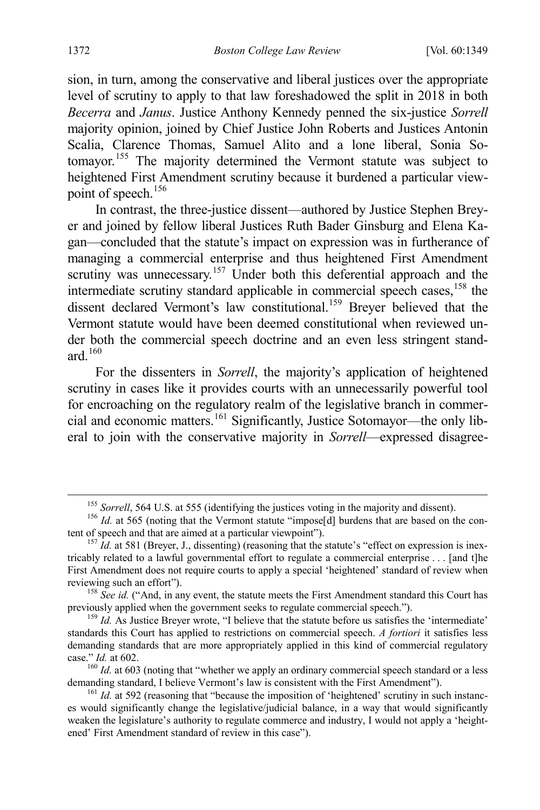sion, in turn, among the conservative and liberal justices over the appropriate level of scrutiny to apply to that law foreshadowed the split in 2018 in both *Becerra* and *Janus*. Justice Anthony Kennedy penned the six-justice *Sorrell* majority opinion, joined by Chief Justice John Roberts and Justices Antonin Scalia, Clarence Thomas, Samuel Alito and a lone liberal, Sonia Sotomayor.[155](#page-24-0) The majority determined the Vermont statute was subject to heightened First Amendment scrutiny because it burdened a particular view-point of speech.<sup>[156](#page-24-1)</sup>

In contrast, the three-justice dissent—authored by Justice Stephen Breyer and joined by fellow liberal Justices Ruth Bader Ginsburg and Elena Kagan—concluded that the statute's impact on expression was in furtherance of managing a commercial enterprise and thus heightened First Amendment scrutiny was unnecessary.<sup>[157](#page-24-2)</sup> Under both this deferential approach and the intermediate scrutiny standard applicable in commercial speech cases,<sup>[158](#page-24-3)</sup> the dissent declared Vermont's law constitutional.<sup>[159](#page-24-4)</sup> Breyer believed that the Vermont statute would have been deemed constitutional when reviewed under both the commercial speech doctrine and an even less stringent standard.[160](#page-24-5)

For the dissenters in *Sorrell*, the majority's application of heightened scrutiny in cases like it provides courts with an unnecessarily powerful tool for encroaching on the regulatory realm of the legislative branch in commercial and economic matters.[161](#page-24-6) Significantly, Justice Sotomayor—the only liberal to join with the conservative majority in *Sorrell*—expressed disagree-

<span id="page-24-1"></span><span id="page-24-0"></span><sup>&</sup>lt;sup>155</sup> *Sorrell*, 564 U.S. at 555 (identifying the justices voting in the majority and dissent). <sup>156</sup> *Id.* at 565 (noting that the Vermont statute "impose[d] burdens that are based on the content of speech and that are ai

<span id="page-24-2"></span> $t_{157}$  *Id.* at 581 (Breyer, J., dissenting) (reasoning that the statute's "effect on expression is inextricably related to a lawful governmental effort to regulate a commercial enterprise . . . [and t]he First Amendment does not require courts to apply a special 'heightened' standard of review when reviewing such an effort"). <sup>158</sup> *See id.* ("And, in any event, the statute meets the First Amendment standard this Court has

<span id="page-24-3"></span>previously applied when the government seeks to regulate commercial speech.").<br><sup>159</sup> *Id.* As Justice Breyer wrote, "I believe that the statute before us satisfies the 'intermediate'

<span id="page-24-4"></span>standards this Court has applied to restrictions on commercial speech. *A fortiori* it satisfies less demanding standards that are more appropriately applied in this kind of commercial regulatory

<span id="page-24-5"></span>case." *Id.* at 602.<br><sup>160</sup> *Id.* at 603 (noting that "whether we apply an ordinary commercial speech standard or a less demanding standard, I believe Vermont's law is consistent with the First Amendment").

<span id="page-24-6"></span> $\overline{Id}$ . Id. at 592 (reasoning that "because the imposition of 'heightened' scrutiny in such instances would significantly change the legislative/judicial balance, in a way that would significantly weaken the legislature's authority to regulate commerce and industry, I would not apply a 'heightened' First Amendment standard of review in this case").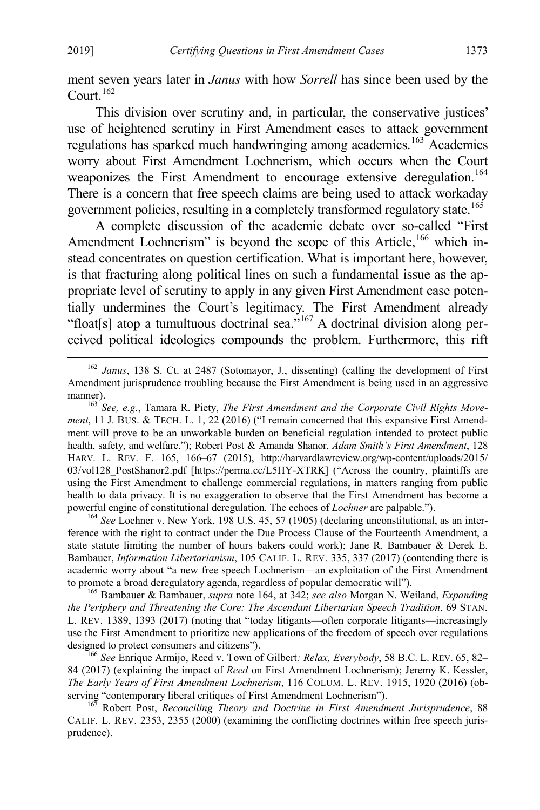ment seven years later in *Janus* with how *Sorrell* has since been used by the Court. $162$ 

This division over scrutiny and, in particular, the conservative justices' use of heightened scrutiny in First Amendment cases to attack government regulations has sparked much handwringing among academics.<sup>[163](#page-25-2)</sup> Academics worry about First Amendment Lochnerism, which occurs when the Court weaponizes the First Amendment to encourage extensive deregulation.<sup>[164](#page-25-3)</sup> There is a concern that free speech claims are being used to attack workaday government policies, resulting in a completely transformed regulatory state. [165](#page-25-4)

<span id="page-25-0"></span>A complete discussion of the academic debate over so-called "First Amendment Lochnerism" is beyond the scope of this Article,<sup>[166](#page-25-5)</sup> which instead concentrates on question certification. What is important here, however, is that fracturing along political lines on such a fundamental issue as the appropriate level of scrutiny to apply in any given First Amendment case potentially undermines the Court's legitimacy. The First Amendment already "float[s] atop a tumultuous doctrinal sea."<sup>[167](#page-25-6)</sup> A doctrinal division along perceived political ideologies compounds the problem. Furthermore, this rift

<span id="page-25-3"></span>ference with the right to contract under the Due Process Clause of the Fourteenth Amendment, a state statute limiting the number of hours bakers could work); Jane R. Bambauer & Derek E. Bambauer, *Information Libertarianism*, 105 CALIF. L. REV. 335, 337 (2017) (contending there is academic worry about "a new free speech Lochnerism—an exploitation of the First Amendment to promote a broad deregulatory agenda, regardless of popular democratic will"). 165 Bambauer & Bambauer, *supra* note [164,](#page-25-0) at 342; *see also* Morgan N. Weiland, *Expanding* 

<span id="page-25-4"></span>*the Periphery and Threatening the Core: The Ascendant Libertarian Speech Tradition*, 69 STAN. L. REV. 1389, 1393 (2017) (noting that "today litigants—often corporate litigants—increasingly use the First Amendment to prioritize new applications of the freedom of speech over regulations designed to protect consumers and citizens"). <sup>166</sup> *See* Enrique Armijo, Reed v. Town of Gilbert*: Relax, Everybody*, 58 B.C. L. REV. 65, 82–

<span id="page-25-5"></span>84 (2017) (explaining the impact of *Reed* on First Amendment Lochnerism); Jeremy K. Kessler, *The Early Years of First Amendment Lochnerism*, 116 COLUM. L. REV. 1915, 1920 (2016) (observing "contemporary liberal critiques of First Amendment Lochnerism"). <sup>167</sup> Robert Post, *Reconciling Theory and Doctrine in First Amendment Jurisprudence*, 88

<span id="page-25-6"></span>CALIF. L. REV. 2353, 2355 (2000) (examining the conflicting doctrines within free speech jurisprudence).

<span id="page-25-1"></span> <sup>162</sup> *Janus*, 138 S. Ct. at 2487 (Sotomayor, J., dissenting) (calling the development of First Amendment jurisprudence troubling because the First Amendment is being used in an aggressive manner).<br><sup>163</sup> *See, e.g.*, Tamara R. Piety, *The First Amendment and the Corporate Civil Rights Move-*

<span id="page-25-2"></span>*ment*, 11 J. BUS. & TECH. L. 1, 22 (2016) ("I remain concerned that this expansive First Amendment will prove to be an unworkable burden on beneficial regulation intended to protect public health, safety, and welfare."); Robert Post & Amanda Shanor, *Adam Smith's First Amendment*, 128 HARV. L. REV. F. 165, 166–67 (2015), http://harvardlawreview.org/wp-content/uploads/2015/ 03/vol128\_PostShanor2.pdf [https://perma.cc/L5HY-XTRK] ("Across the country, plaintiffs are using the First Amendment to challenge commercial regulations, in matters ranging from public health to data privacy. It is no exaggeration to observe that the First Amendment has become a powerful engine of constitutional deregulation. The echoes of *Lochner* are palpable."). <sup>164</sup> *See* Lochner v. New York, 198 U.S. 45, 57 (1905) (declaring unconstitutional, as an inter-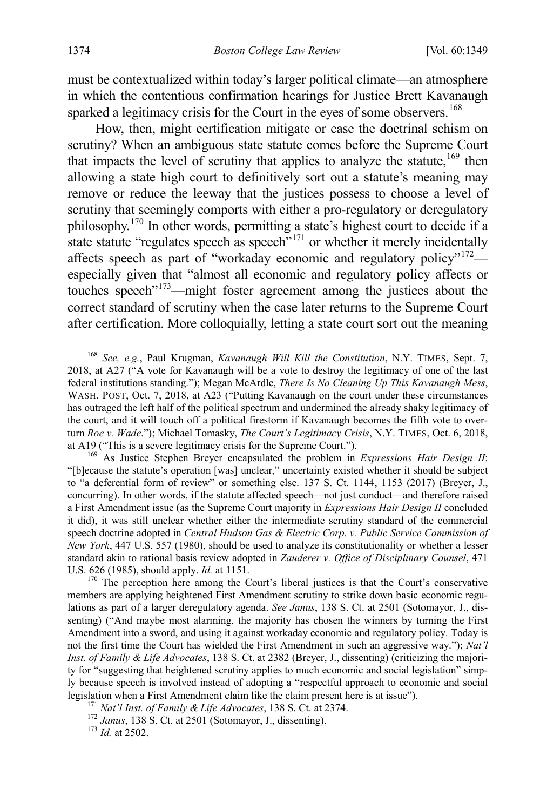must be contextualized within today's larger political climate—an atmosphere in which the contentious confirmation hearings for Justice Brett Kavanaugh sparked a legitimacy crisis for the Court in the eyes of some observers.<sup>[168](#page-26-0)</sup>

How, then, might certification mitigate or ease the doctrinal schism on scrutiny? When an ambiguous state statute comes before the Supreme Court that impacts the level of scrutiny that applies to analyze the statute,  $169$  then allowing a state high court to definitively sort out a statute's meaning may remove or reduce the leeway that the justices possess to choose a level of scrutiny that seemingly comports with either a pro-regulatory or deregulatory philosophy.[170](#page-26-2) In other words, permitting a state's highest court to decide if a state statute "regulates speech as speech"<sup>[171](#page-26-3)</sup> or whether it merely incidentally affects speech as part of "workaday economic and regulatory policy"<sup>[172](#page-26-4)</sup> especially given that "almost all economic and regulatory policy affects or touches speech"[173](#page-26-5)—might foster agreement among the justices about the correct standard of scrutiny when the case later returns to the Supreme Court after certification. More colloquially, letting a state court sort out the meaning

<span id="page-26-1"></span>"[b]ecause the statute's operation [was] unclear," uncertainty existed whether it should be subject to "a deferential form of review" or something else. 137 S. Ct. 1144, 1153 (2017) (Breyer, J., concurring). In other words, if the statute affected speech—not just conduct—and therefore raised a First Amendment issue (as the Supreme Court majority in *Expressions Hair Design II* concluded it did), it was still unclear whether either the intermediate scrutiny standard of the commercial speech doctrine adopted in *Central Hudson Gas & Electric Corp. v. Public Service Commission of New York*, 447 U.S. 557 (1980), should be used to analyze its constitutionality or whether a lesser standard akin to rational basis review adopted in *Zauderer v. Office of Disciplinary Counsel*, 471

<span id="page-26-2"></span>U.S. 626 (1985), should apply. *Id.* at 1151.<br><sup>170</sup> The perception here among the Court's liberal justices is that the Court's conservative members are applying heightened First Amendment scrutiny to strike down basic economic regulations as part of a larger deregulatory agenda. *See Janus*, 138 S. Ct. at 2501 (Sotomayor, J., dissenting) ("And maybe most alarming, the majority has chosen the winners by turning the First Amendment into a sword, and using it against workaday economic and regulatory policy. Today is not the first time the Court has wielded the First Amendment in such an aggressive way."); *Nat'l Inst. of Family & Life Advocates*, 138 S. Ct. at 2382 (Breyer, J., dissenting) (criticizing the majority for "suggesting that heightened scrutiny applies to much economic and social legislation" simply because speech is involved instead of adopting a "respectful approach to economic and social legislation when a First Amendment claim like the claim present here is at issue").<br>
<sup>171</sup> *Nat'l Inst. of Family & Life Advocates*, 138 S. Ct. at 2374.<br>
<sup>172</sup> *Janus*, 138 S. Ct. at 2501 (Sotomayor, J., dissenting).<br>
<sup>17</sup>

<span id="page-26-3"></span>

<span id="page-26-5"></span><span id="page-26-4"></span>

<span id="page-26-0"></span> <sup>168</sup> *See, e.g.*, Paul Krugman, *Kavanaugh Will Kill the Constitution*, N.Y. TIMES, Sept. 7, 2018, at A27 ("A vote for Kavanaugh will be a vote to destroy the legitimacy of one of the last federal institutions standing."); Megan McArdle, *There Is No Cleaning Up This Kavanaugh Mess*, WASH. POST, Oct. 7, 2018, at A23 ("Putting Kavanaugh on the court under these circumstances has outraged the left half of the political spectrum and undermined the already shaky legitimacy of the court, and it will touch off a political firestorm if Kavanaugh becomes the fifth vote to overturn *Roe v. Wade*."); Michael Tomasky, *The Court's Legitimacy Crisis*, N.Y. TIMES, Oct. 6, 2018, at A19 ("This is a severe legitimacy crisis for the Supreme Court."). <sup>169</sup> As Justice Stephen Breyer encapsulated the problem in *Expressions Hair Design II*: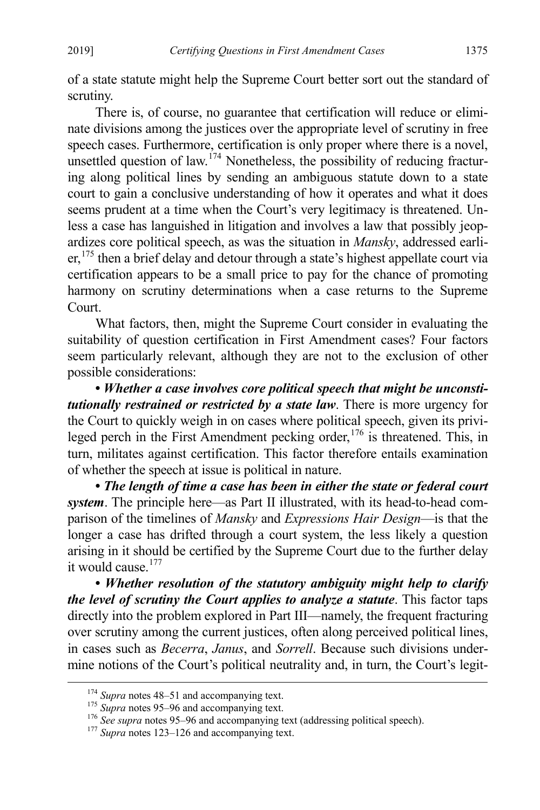of a state statute might help the Supreme Court better sort out the standard of scrutiny.

There is, of course, no guarantee that certification will reduce or eliminate divisions among the justices over the appropriate level of scrutiny in free speech cases. Furthermore, certification is only proper where there is a novel, unsettled question of law.<sup>[174](#page-27-2)</sup> Nonetheless, the possibility of reducing fracturing along political lines by sending an ambiguous statute down to a state court to gain a conclusive understanding of how it operates and what it does seems prudent at a time when the Court's very legitimacy is threatened. Unless a case has languished in litigation and involves a law that possibly jeopardizes core political speech, as was the situation in *Mansky*, addressed earli- $er<sub>175</sub>$  $er<sub>175</sub>$  $er<sub>175</sub>$  then a brief delay and detour through a state's highest appellate court via certification appears to be a small price to pay for the chance of promoting harmony on scrutiny determinations when a case returns to the Supreme Court.

<span id="page-27-0"></span>What factors, then, might the Supreme Court consider in evaluating the suitability of question certification in First Amendment cases? Four factors seem particularly relevant, although they are not to the exclusion of other possible considerations:

<span id="page-27-1"></span>**•** *Whether a case involves core political speech that might be unconstitutionally restrained or restricted by a state law*. There is more urgency for the Court to quickly weigh in on cases where political speech, given its privi-leged perch in the First Amendment pecking order,<sup>[176](#page-27-4)</sup> is threatened. This, in turn, militates against certification. This factor therefore entails examination of whether the speech at issue is political in nature.

**•** *The length of time a case has been in either the state or federal court system*. The principle here—as Part II illustrated, with its head-to-head comparison of the timelines of *Mansky* and *Expressions Hair Design*—is that the longer a case has drifted through a court system, the less likely a question arising in it should be certified by the Supreme Court due to the further delay it would cause.[177](#page-27-5) 

**•** *Whether resolution of the statutory ambiguity might help to clarify the level of scrutiny the Court applies to analyze a statute*. This factor taps directly into the problem explored in Part III—namely, the frequent fracturing over scrutiny among the current justices, often along perceived political lines, in cases such as *Becerra*, *Janus*, and *Sorrell*. Because such divisions undermine notions of the Court's political neutrality and, in turn, the Court's legit-

<span id="page-27-4"></span><span id="page-27-3"></span>

<span id="page-27-2"></span><sup>&</sup>lt;sup>174</sup> Supra note[s 48](#page-9-7)[–51](#page-10-8) and accompanying text.<br><sup>175</sup> Supra note[s 95](#page-15-8)[–96](#page-15-9) and accompanying text.<br><sup>176</sup> See supra notes 95–96 and accompanying text (addressing political speech).<br><sup>177</sup> Supra note[s 123](#page-20-7)[–126](#page-20-8) and accompanying tex

<span id="page-27-5"></span>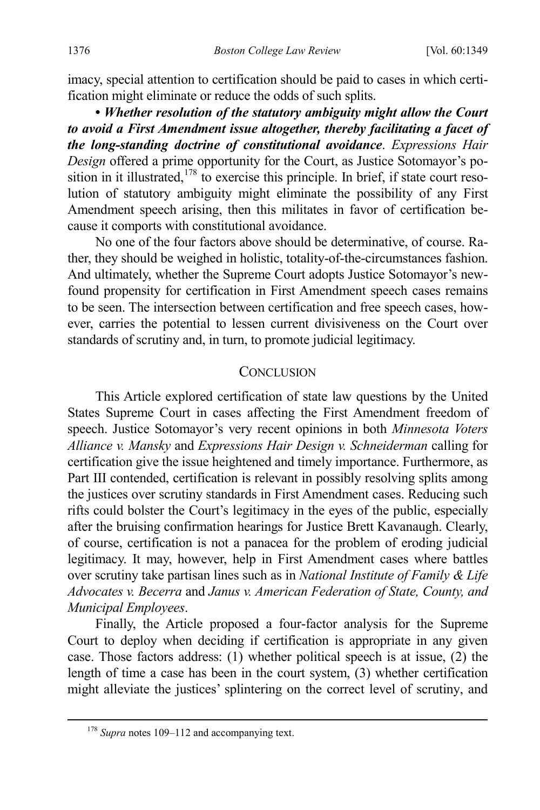imacy, special attention to certification should be paid to cases in which certification might eliminate or reduce the odds of such splits.

<span id="page-28-0"></span>**•** *Whether resolution of the statutory ambiguity might allow the Court to avoid a First Amendment issue altogether, thereby facilitating a facet of the long-standing doctrine of constitutional avoidance*. *Expressions Hair Design* offered a prime opportunity for the Court, as Justice Sotomayor's position in it illustrated, $178$  to exercise this principle. In brief, if state court resolution of statutory ambiguity might eliminate the possibility of any First Amendment speech arising, then this militates in favor of certification because it comports with constitutional avoidance.

No one of the four factors above should be determinative, of course. Rather, they should be weighed in holistic, totality-of-the-circumstances fashion. And ultimately, whether the Supreme Court adopts Justice Sotomayor's newfound propensity for certification in First Amendment speech cases remains to be seen. The intersection between certification and free speech cases, however, carries the potential to lessen current divisiveness on the Court over standards of scrutiny and, in turn, to promote judicial legitimacy.

#### **CONCLUSION**

This Article explored certification of state law questions by the United States Supreme Court in cases affecting the First Amendment freedom of speech. Justice Sotomayor's very recent opinions in both *Minnesota Voters Alliance v. Mansky* and *Expressions Hair Design v. Schneiderman* calling for certification give the issue heightened and timely importance. Furthermore, as Part III contended, certification is relevant in possibly resolving splits among the justices over scrutiny standards in First Amendment cases. Reducing such rifts could bolster the Court's legitimacy in the eyes of the public, especially after the bruising confirmation hearings for Justice Brett Kavanaugh. Clearly, of course, certification is not a panacea for the problem of eroding judicial legitimacy. It may, however, help in First Amendment cases where battles over scrutiny take partisan lines such as in *National Institute of Family & Life Advocates v. Becerra* and *Janus v. American Federation of State, County, and Municipal Employees*.

Finally, the Article proposed a four-factor analysis for the Supreme Court to deploy when deciding if certification is appropriate in any given case. Those factors address: (1) whether political speech is at issue, (2) the length of time a case has been in the court system, (3) whether certification might alleviate the justices' splintering on the correct level of scrutiny, and

<span id="page-28-1"></span><sup>&</sup>lt;sup>178</sup> *Supra* note[s 109](#page-17-10)[–112](#page-18-6) and accompanying text.